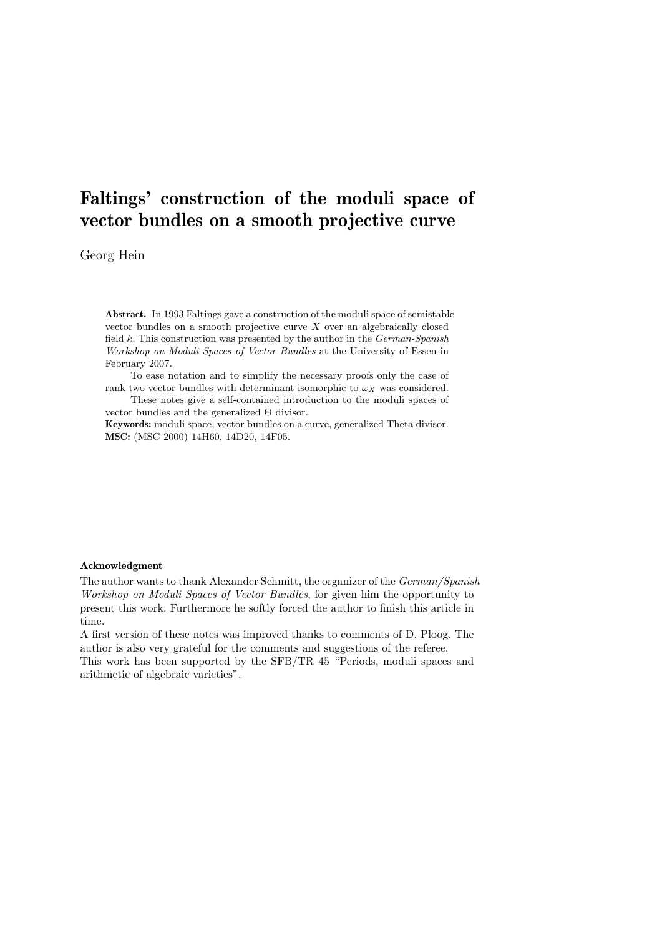# Faltings' construction of the moduli space of vector bundles on a smooth projective curve

Georg Hein

Abstract. In 1993 Faltings gave a construction of the moduli space of semistable vector bundles on a smooth projective curve  $X$  over an algebraically closed field  $k$ . This construction was presented by the author in the German-Spanish Workshop on Moduli Spaces of Vector Bundles at the University of Essen in February 2007.

To ease notation and to simplify the necessary proofs only the case of rank two vector bundles with determinant isomorphic to  $\omega_X$  was considered.

These notes give a self-contained introduction to the moduli spaces of vector bundles and the generalized Θ divisor.

Keywords: moduli space, vector bundles on a curve, generalized Theta divisor. MSC: (MSC 2000) 14H60, 14D20, 14F05.

# Acknowledgment

The author wants to thank Alexander Schmitt, the organizer of the German/Spanish Workshop on Moduli Spaces of Vector Bundles, for given him the opportunity to present this work. Furthermore he softly forced the author to finish this article in time.

A first version of these notes was improved thanks to comments of D. Ploog. The author is also very grateful for the comments and suggestions of the referee.

This work has been supported by the SFB/TR 45 "Periods, moduli spaces and arithmetic of algebraic varieties".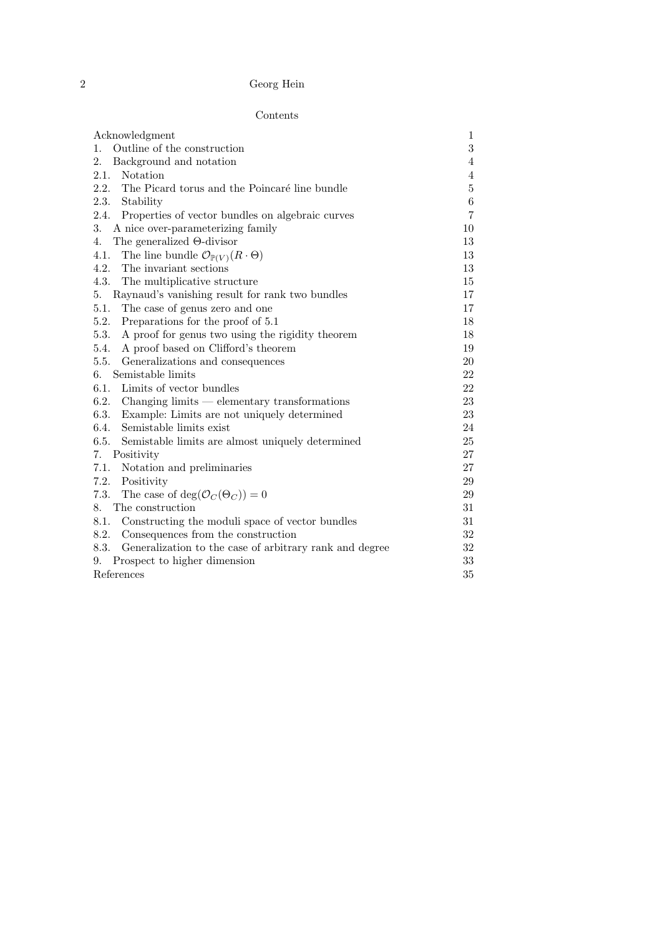# Contents

| Acknowledgment                                                        | $\mathbf{1}$     |
|-----------------------------------------------------------------------|------------------|
| Outline of the construction<br>$1_{\cdot}$                            | $\boldsymbol{3}$ |
| 2.<br>Background and notation                                         | 4                |
| 2.1.<br>Notation                                                      | 4                |
| 2.2.<br>The Picard torus and the Poincaré line bundle                 | $\bf 5$          |
| 2.3.<br>Stability                                                     | $\,6$            |
| 2.4.<br>Properties of vector bundles on algebraic curves              | 7                |
| 3.<br>A nice over-parameterizing family                               | 10               |
| The generalized $\Theta$ -divisor<br>4.                               | 13               |
| 4.1.<br>The line bundle $\mathcal{O}_{\mathbb{P}(V)}(R \cdot \Theta)$ | 13               |
| 4.2.<br>The invariant sections                                        | 13               |
| 4.3.<br>The multiplicative structure                                  | 15               |
| 5.<br>Raynaud's vanishing result for rank two bundles                 | 17               |
| 5.1.<br>The case of genus zero and one                                | 17               |
| 5.2.<br>Preparations for the proof of 5.1                             | 18               |
| 5.3.<br>A proof for genus two using the rigidity theorem              | 18               |
| A proof based on Clifford's theorem<br>5.4.                           | 19               |
| 5.5.<br>Generalizations and consequences                              | 20               |
| Semistable limits<br>6.                                               | 22               |
| 6.1.<br>Limits of vector bundles                                      | 22               |
| 6.2.<br>$\alpha$ Changing limits — elementary transformations         | 23               |
| 6.3.<br>Example: Limits are not uniquely determined                   | 23               |
| 6.4.<br>Semistable limits exist                                       | 24               |
| 6.5.<br>Semistable limits are almost uniquely determined              | 25               |
| Positivity<br>7.                                                      | 27               |
| 7.1.<br>Notation and preliminaries                                    | 27               |
| 7.2.<br>Positivity                                                    | 29               |
| The case of deg( $\mathcal{O}_C(\Theta_C)$ ) = 0<br>7.3.              | 29               |
| 8.<br>The construction                                                | 31               |
| 8.1.<br>Constructing the moduli space of vector bundles               | 31               |
| 8.2.<br>Consequences from the construction                            | 32               |
| 8.3.<br>Generalization to the case of arbitrary rank and degree       | 32               |
| Prospect to higher dimension<br>9.                                    | 33               |
| References                                                            |                  |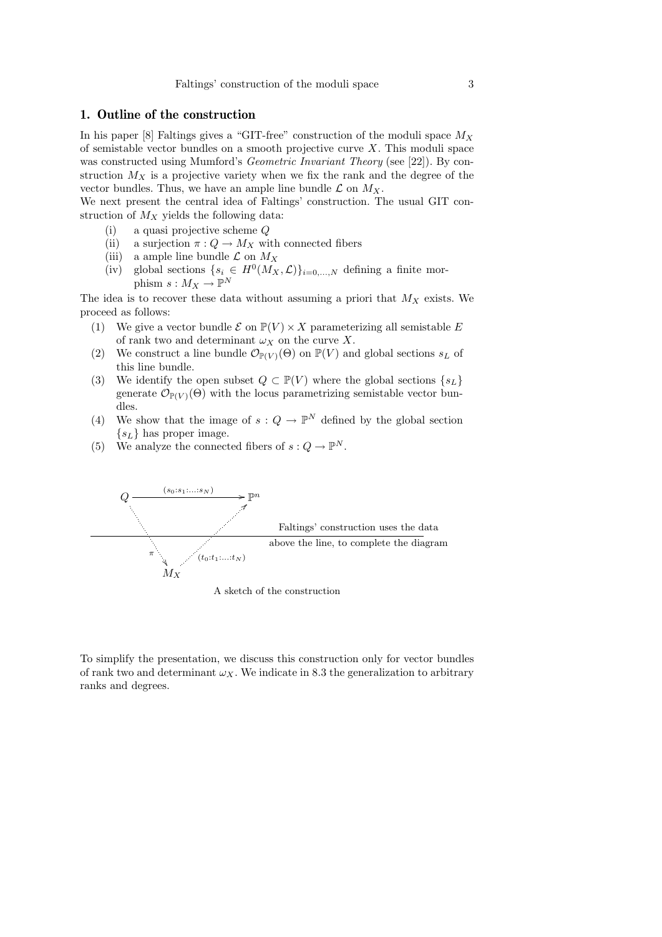# 1. Outline of the construction

In his paper [8] Faltings gives a "GIT-free" construction of the moduli space  $M_X$ of semistable vector bundles on a smooth projective curve  $X$ . This moduli space was constructed using Mumford's *Geometric Invariant Theory* (see [22]). By construction  $M_X$  is a projective variety when we fix the rank and the degree of the vector bundles. Thus, we have an ample line bundle  $\mathcal L$  on  $M_X$ .

We next present the central idea of Faltings' construction. The usual GIT construction of  $M_X$  yields the following data:

- (i) a quasi projective scheme Q
- (ii) a surjection  $\pi: Q \to M_X$  with connected fibers
- (iii) a ample line bundle  $\mathcal L$  on  $M_X$
- (iv) global sections  $\{s_i \in H^0(M_X, \mathcal{L})\}_{i=0,\dots,N}$  defining a finite morphism  $s: M_X \to \mathbb{P}^N$

The idea is to recover these data without assuming a priori that  $M_X$  exists. We proceed as follows:

- (1) We give a vector bundle  $\mathcal E$  on  $\mathbb P(V) \times X$  parameterizing all semistable E of rank two and determinant  $\omega_X$  on the curve X.
- (2) We construct a line bundle  $\mathcal{O}_{\mathbb{P}(V)}(\Theta)$  on  $\mathbb{P}(V)$  and global sections  $s_L$  of this line bundle.
- (3) We identify the open subset  $Q \subset \mathbb{P}(V)$  where the global sections  $\{s_L\}$ generate  $\mathcal{O}_{\mathbb{P}(V)}(\Theta)$  with the locus parametrizing semistable vector bundles.
- (4) We show that the image of  $s: Q \to \mathbb{P}^N$  defined by the global section  ${s<sub>L</sub>}$  has proper image.
- (5) We analyze the connected fibers of  $s: Q \to \mathbb{P}^N$ .



A sketch of the construction

To simplify the presentation, we discuss this construction only for vector bundles of rank two and determinant  $\omega_X$ . We indicate in 8.3 the generalization to arbitrary ranks and degrees.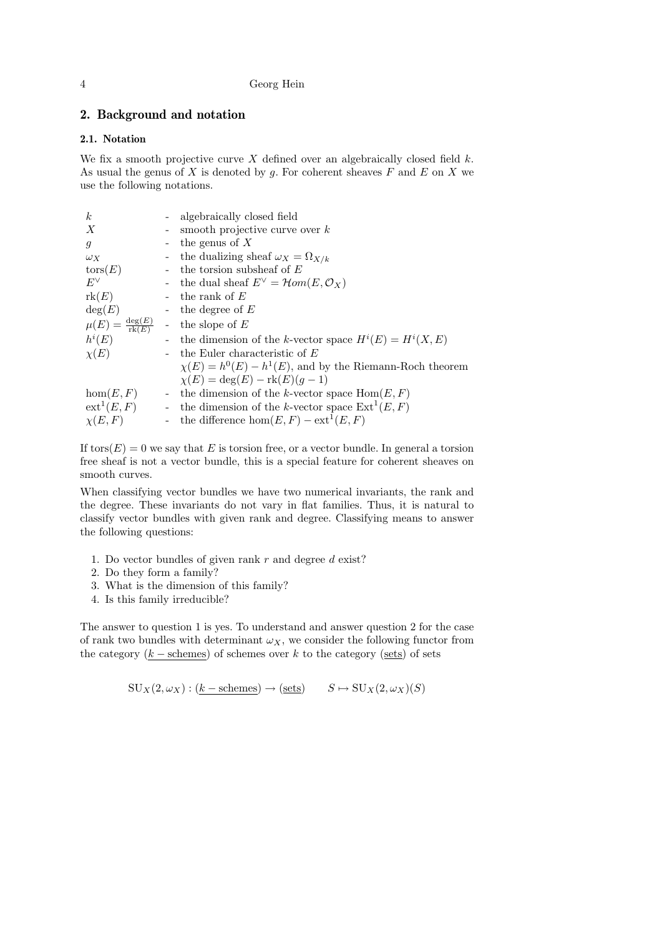# 2. Background and notation

# 2.1. Notation

We fix a smooth projective curve X defined over an algebraically closed field  $k$ . As usual the genus of  $X$  is denoted by  $g$ . For coherent sheaves  $F$  and  $E$  on  $X$  we use the following notations.

| $\boldsymbol{k}$                        |          | algebraically closed field                                    |
|-----------------------------------------|----------|---------------------------------------------------------------|
| X                                       |          | smooth projective curve over $k$                              |
| $\mathfrak{g}$                          |          | the genus of $X$                                              |
| $\omega_X$                              |          | the dualizing sheaf $\omega_X = \Omega_{X/k}$                 |
| $\operatorname{tors}(E)$                |          | the torsion subsheaf of $E$                                   |
| $E^{\vee}$                              |          | the dual sheaf $E^{\vee} = \mathcal{H}om(E, \mathcal{O}_X)$   |
| rk(E)                                   |          | the rank of $E$                                               |
| deg(E)                                  |          | the degree of $E$                                             |
| $\mu(E) = \frac{\deg(E)}{\text{rk}(E)}$ |          | the slope of $E$                                              |
| $h^i(E)$                                |          | the dimension of the k-vector space $H^i(E) = H^i(X, E)$      |
| $\chi(E)$                               |          | the Euler characteristic of $E$                               |
|                                         |          | $\chi(E) = h^0(E) - h^1(E)$ , and by the Riemann-Roch theorem |
|                                         |          | $\chi(E) = \deg(E) - \text{rk}(E)(q-1)$                       |
| hom(E, F)                               | $\equiv$ | the dimension of the k-vector space $Hom(E, F)$               |
| $ext{}^1(E,F)$                          | $\equiv$ | the dimension of the k-vector space $\text{Ext}^1(E, F)$      |
| $\chi(E,F)$                             |          | - the difference $hom(E, F) - ext^1(E, F)$                    |

If tors $(E) = 0$  we say that E is torsion free, or a vector bundle. In general a torsion free sheaf is not a vector bundle, this is a special feature for coherent sheaves on smooth curves.

When classifying vector bundles we have two numerical invariants, the rank and the degree. These invariants do not vary in flat families. Thus, it is natural to classify vector bundles with given rank and degree. Classifying means to answer the following questions:

- 1. Do vector bundles of given rank  $r$  and degree  $d$  exist?
- 2. Do they form a family?
- 3. What is the dimension of this family?
- 4. Is this family irreducible?

The answer to question 1 is yes. To understand and answer question 2 for the case of rank two bundles with determinant  $\omega_X$ , we consider the following functor from the category  $(k - \text{schemes})$  of schemes over k to the category (sets) of sets

 $\text{SU}_X(2,\omega_X) : (k-\text{schemes}) \to (\text{sets}) \qquad S \mapsto \text{SU}_X(2,\omega_X)(S)$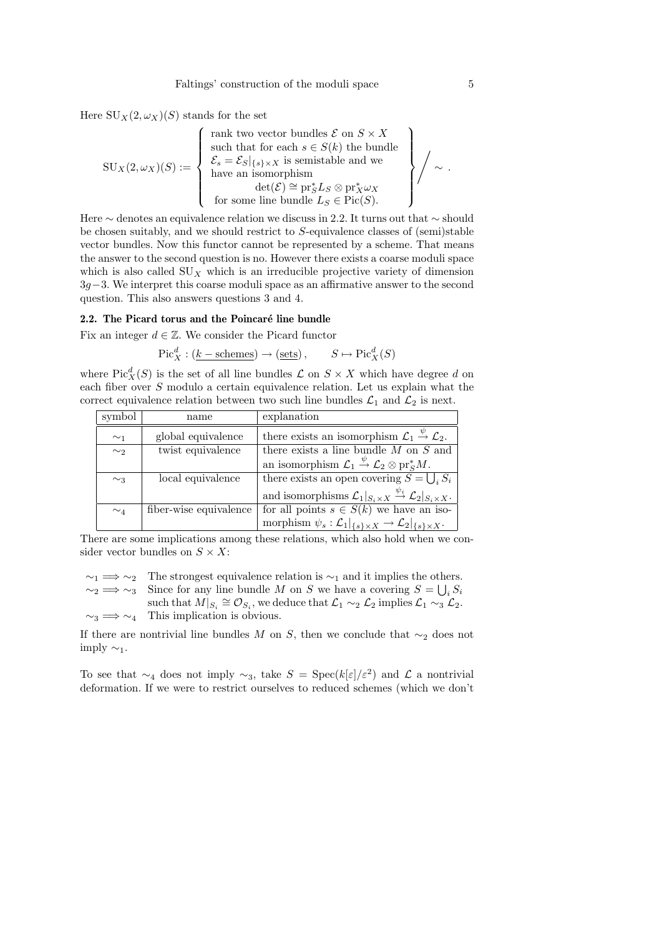Here  $\mathrm{SU}_X(2,\omega_X)(S)$  stands for the set

$$
SU_X(2,\omega_X)(S) := \left\{ \begin{array}{l} \text{rank two vector bundles } \mathcal{E} \text{ on } S \times X \\ \text{such that for each } s \in S(k) \text{ the bundle} \\ \mathcal{E}_s = \mathcal{E}_S|_{\{s\} \times X} \text{ is semistable and we} \\ \text{have an isomorphism} \\ \det(\mathcal{E}) \cong \text{pr}_S^* L_S \otimes \text{pr}_X^* \omega_X \\ \text{for some line bundle } L_S \in \text{Pic}(S). \end{array} \right\} / \sim .
$$

Here ∼ denotes an equivalence relation we discuss in 2.2. It turns out that ∼ should be chosen suitably, and we should restrict to S-equivalence classes of (semi)stable vector bundles. Now this functor cannot be represented by a scheme. That means the answer to the second question is no. However there exists a coarse moduli space which is also called  $\text{SU}_X$  which is an irreducible projective variety of dimension 3g−3. We interpret this coarse moduli space as an affirmative answer to the second question. This also answers questions 3 and 4.

# 2.2. The Picard torus and the Poincaré line bundle

Fix an integer  $d \in \mathbb{Z}$ . We consider the Picard functor

 $Pic_X^d : (\underline{k-\text{schemes}}) \to (\underline{\text{sets}}) , \qquad S \mapsto Pic_X^d(S)$ 

where  $Pic_X^d(S)$  is the set of all line bundles  $\mathcal L$  on  $S \times X$  which have degree d on each fiber over  $S$  modulo a certain equivalence relation. Let us explain what the correct equivalence relation between two such line bundles  $\mathcal{L}_1$  and  $\mathcal{L}_2$  is next.

| symbol   | name                   | explanation                                                                                                     |
|----------|------------------------|-----------------------------------------------------------------------------------------------------------------|
| $\sim_1$ | global equivalence     | there exists an isomorphism $\mathcal{L}_1 \stackrel{\psi}{\rightarrow} \mathcal{L}_2$ .                        |
| $\sim_2$ | twist equivalence      | there exists a line bundle $M$ on $S$ and                                                                       |
|          |                        | an isomorphism $\mathcal{L}_1 \stackrel{\psi}{\rightarrow} \mathcal{L}_2 \otimes \text{pr}_S^* M$ .             |
| $\sim_3$ | local equivalence      | there exists an open covering $\overline{S} = \bigcup_i S_i$                                                    |
|          |                        | and isomorphisms $\mathcal{L}_1 _{S_i \times X} \stackrel{\psi_i}{\rightarrow} \mathcal{L}_2 _{S_i \times X}$ . |
| $\sim_4$ | fiber-wise equivalence | for all points $s \in S(k)$ we have an iso-                                                                     |
|          |                        | morphism $\psi_s : \mathcal{L}_1 _{\{s\}\times X} \to \mathcal{L}_2 _{\{s\}\times X}$ .                         |

There are some implications among these relations, which also hold when we consider vector bundles on  $S \times X$ :

 $\sim_1 \Rightarrow \sim_2$  The strongest equivalence relation is  $\sim_1$  and it implies the others.  $\sim_2 \implies \sim_3$  Since for any line bundle M on S we have a covering  $S = \bigcup_i S_i$ such that  $M|_{S_i} \cong \mathcal{O}_{S_i}$ , we deduce that  $\mathcal{L}_1 \sim_2 \mathcal{L}_2$  implies  $\mathcal{L}_1 \sim_3 \mathcal{L}_2$ .  $\sim_3 \implies \sim_4$  This implication is obvious.

If there are nontrivial line bundles M on S, then we conclude that  $\sim_2$  does not imply  $\sim_1$ .

To see that  $\sim_4$  does not imply  $\sim_3$ , take  $S = \text{Spec}(k[\varepsilon]/\varepsilon^2)$  and  $\mathcal L$  a nontrivial deformation. If we were to restrict ourselves to reduced schemes (which we don't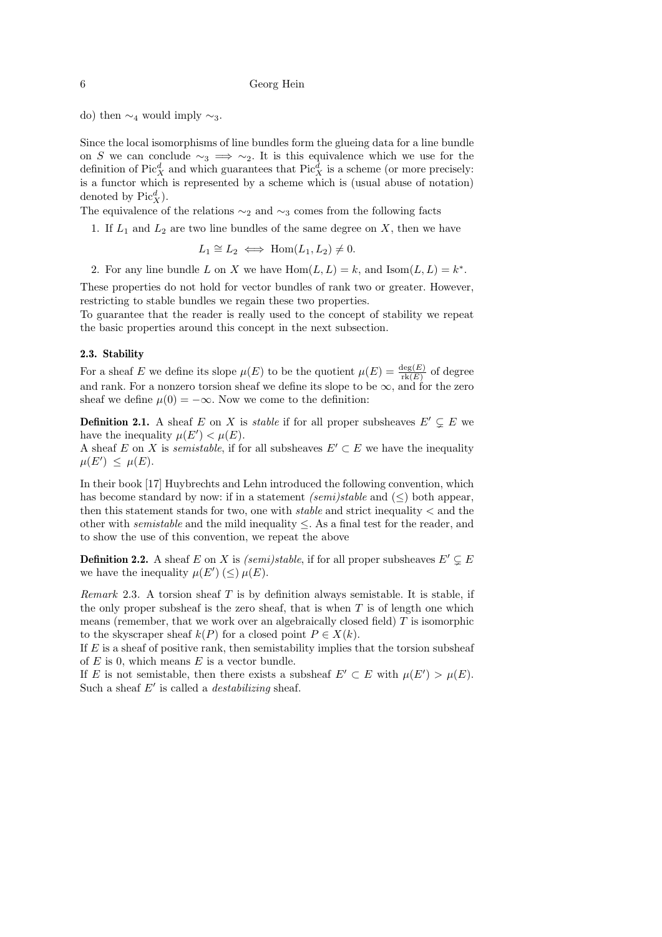do) then  $\sim_4$  would imply  $\sim_3$ .

Since the local isomorphisms of line bundles form the glueing data for a line bundle on S we can conclude  $\sim_3 \implies \sim_2$ . It is this equivalence which we use for the definition of  $Pic_X^d$  and which guarantees that  $Pic_X^d$  is a scheme (or more precisely: is a functor which is represented by a scheme which is (usual abuse of notation) denoted by  $Pic_X^d$ .

The equivalence of the relations  $\sim_2$  and  $\sim_3$  comes from the following facts

1. If  $L_1$  and  $L_2$  are two line bundles of the same degree on X, then we have

 $L_1 \cong L_2 \iff \text{Hom}(L_1, L_2) \neq 0.$ 

2. For any line bundle L on X we have  $Hom(L, L) = k$ , and  $Isom(L, L) = k^*$ .

These properties do not hold for vector bundles of rank two or greater. However, restricting to stable bundles we regain these two properties.

To guarantee that the reader is really used to the concept of stability we repeat the basic properties around this concept in the next subsection.

### 2.3. Stability

For a sheaf E we define its slope  $\mu(E)$  to be the quotient  $\mu(E) = \frac{\deg(E)}{\text{rk}(E)}$  of degree and rank. For a nonzero torsion sheaf we define its slope to be  $\infty$ , and for the zero sheaf we define  $\mu(0) = -\infty$ . Now we come to the definition:

**Definition 2.1.** A sheaf E on X is *stable* if for all proper subsheaves  $E' \subsetneq E$  we have the inequality  $\mu(E') < \mu(E)$ .

A sheaf E on X is *semistable*, if for all subsheaves  $E' \subset E$  we have the inequality  $\mu(E') \leq \mu(E)$ .

In their book [17] Huybrechts and Lehn introduced the following convention, which has become standard by now: if in a statement (semi)stable and  $(\leq)$  both appear, then this statement stands for two, one with *stable* and strict inequality  $\lt$  and the other with *semistable* and the mild inequality  $\leq$ . As a final test for the reader, and to show the use of this convention, we repeat the above

**Definition 2.2.** A sheaf E on X is (semi)stable, if for all proper subsheaves  $E' \subseteq E$ we have the inequality  $\mu(E') \leq \mu(E)$ .

*Remark* 2.3. A torsion sheaf T is by definition always semistable. It is stable, if the only proper subsheaf is the zero sheaf, that is when  $T$  is of length one which means (remember, that we work over an algebraically closed field)  $T$  is isomorphic to the skyscraper sheaf  $k(P)$  for a closed point  $P \in X(k)$ .

If  $E$  is a sheaf of positive rank, then semistability implies that the torsion subsheaf of  $E$  is 0, which means  $E$  is a vector bundle.

If E is not semistable, then there exists a subsheaf  $E' \subset E$  with  $\mu(E') > \mu(E)$ . Such a sheaf  $E'$  is called a *destabilizing* sheaf.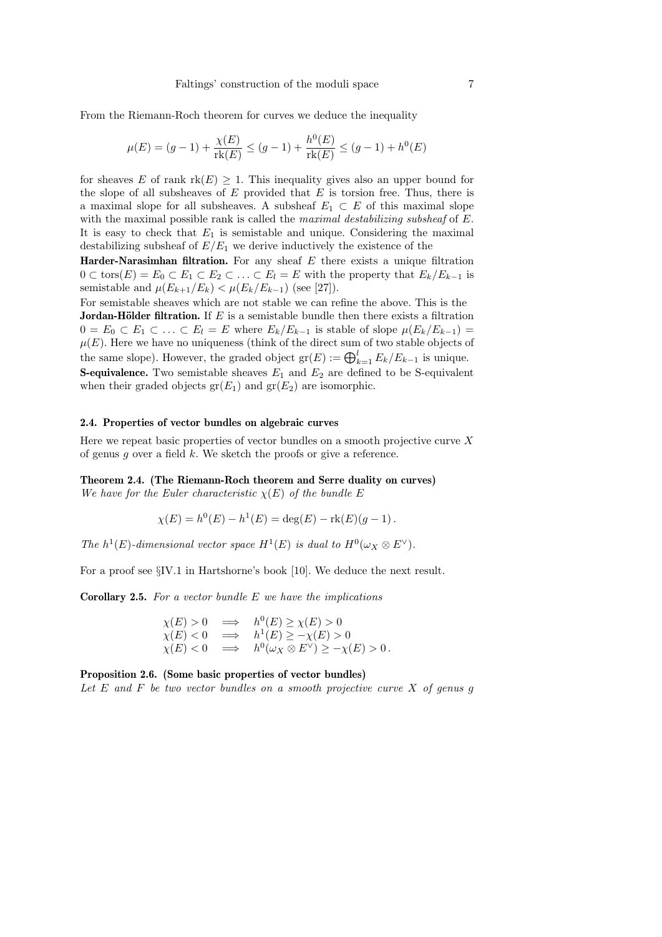From the Riemann-Roch theorem for curves we deduce the inequality

$$
\mu(E) = (g - 1) + \frac{\chi(E)}{\text{rk}(E)} \le (g - 1) + \frac{h^0(E)}{\text{rk}(E)} \le (g - 1) + h^0(E)
$$

for sheaves E of rank  $rk(E) \geq 1$ . This inequality gives also an upper bound for the slope of all subsheaves of  $E$  provided that  $E$  is torsion free. Thus, there is a maximal slope for all subsheaves. A subsheaf  $E_1 \subset E$  of this maximal slope with the maximal possible rank is called the *maximal destabilizing subsheaf* of E. It is easy to check that  $E_1$  is semistable and unique. Considering the maximal destabilizing subsheaf of  $E/E_1$  we derive inductively the existence of the

Harder-Narasimhan filtration. For any sheaf  $E$  there exists a unique filtration  $0 \subset \text{tors}(E) = E_0 \subset E_1 \subset E_2 \subset \ldots \subset E_l = E$  with the property that  $E_k/E_{k-1}$  is semistable and  $\mu(E_{k+1}/E_k) < \mu(E_k/E_{k-1})$  (see [27]).

For semistable sheaves which are not stable we can refine the above. This is the **Jordan-Hölder filtration.** If  $E$  is a semistable bundle then there exists a filtration  $0 = E_0 \subset E_1 \subset \ldots \subset E_l = E$  where  $E_k/E_{k-1}$  is stable of slope  $\mu(E_k/E_{k-1}) =$  $\mu(E)$ . Here we have no uniqueness (think of the direct sum of two stable objects of the same slope). However, the graded object  $gr(E) := \bigoplus_{k=1}^{l} E_k / E_{k-1}$  is unique. **S-equivalence.** Two semistable sheaves  $E_1$  and  $E_2$  are defined to be S-equivalent when their graded objects  $gr(E_1)$  and  $gr(E_2)$  are isomorphic.

# 2.4. Properties of vector bundles on algebraic curves

Here we repeat basic properties of vector bundles on a smooth projective curve  $X$ of genus  $g$  over a field  $k$ . We sketch the proofs or give a reference.

Theorem 2.4. (The Riemann-Roch theorem and Serre duality on curves) We have for the Euler characteristic  $\chi(E)$  of the bundle E

$$
\chi(E) = h^0(E) - h^1(E) = \deg(E) - \text{rk}(E)(g - 1).
$$

The  $h^1(E)$ -dimensional vector space  $H^1(E)$  is dual to  $H^0(\omega_X \otimes E^{\vee})$ .

For a proof see §IV.1 in Hartshorne's book [10]. We deduce the next result.

**Corollary 2.5.** For a vector bundle  $E$  we have the implications

$$
\chi(E) > 0 \implies h^0(E) \ge \chi(E) > 0
$$
  
\n
$$
\chi(E) < 0 \implies h^1(E) \ge -\chi(E) > 0
$$
  
\n
$$
\chi(E) < 0 \implies h^0(\omega_X \otimes E^{\vee}) \ge -\chi(E) > 0.
$$

Proposition 2.6. (Some basic properties of vector bundles) Let  $E$  and  $F$  be two vector bundles on a smooth projective curve  $X$  of genus  $g$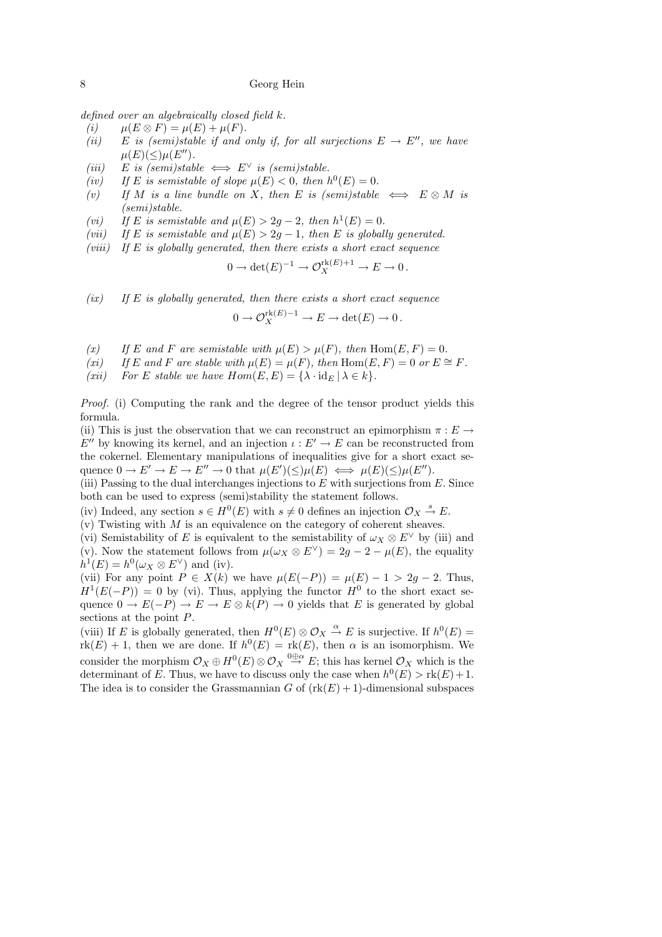defined over an algebraically closed field k.

- (i)  $\mu(E \otimes F) = \mu(E) + \mu(F).$
- (ii) E is (semi)stable if and only if, for all surjections  $E \to E''$ , we have  $\mu(E)(\leq)\mu(E'').$
- (iii) E is (semi)stable  $\iff E^{\vee}$  is (semi)stable.
- (iv) If E is semistable of slope  $\mu(E) < 0$ , then  $h^0(E) = 0$ .
- (v) If M is a line bundle on X, then E is (semi)stable  $\iff$  E  $\otimes$  M is (semi)stable.
- (vi) If E is semistable and  $\mu(E) > 2g 2$ , then  $h^1(E) = 0$ .
- (vii) If E is semistable and  $\mu(E) > 2g 1$ , then E is globally generated.
- $(viii)$  If E is globally generated, then there exists a short exact sequence

$$
0 \to \det(E)^{-1} \to \mathcal{O}_X^{\text{rk}(E)+1} \to E \to 0.
$$

- $(ix)$  If E is globally generated, then there exists a short exact sequence  $0 \to \mathcal{O}_X^{\text{rk}(E)-1} \to E \to \det(E) \to 0$ .
- (x) If E and F are semistable with  $\mu(E) > \mu(F)$ , then Hom(E, F) = 0.
- (xi) If E and F are stable with  $\mu(E) = \mu(F)$ , then  $\text{Hom}(E, F) = 0$  or  $E \cong F$ .
- (xii) For E stable we have  $Hom(E, E) = {\lambda \cdot id_E | \lambda \in k}.$

Proof. (i) Computing the rank and the degree of the tensor product yields this formula.

(ii) This is just the observation that we can reconstruct an epimorphism  $\pi : E \to$  $E''$  by knowing its kernel, and an injection  $\iota : E' \to E$  can be reconstructed from the cokernel. Elementary manipulations of inequalities give for a short exact sequence  $0 \to E' \to E \to E'' \to 0$  that  $\mu(E')(\leq) \mu(E) \iff \mu(E)(\leq) \mu(E'')$ .

(iii) Passing to the dual interchanges injections to  $E$  with surjections from  $E$ . Since both can be used to express (semi)stability the statement follows.

(iv) Indeed, any section  $s \in H^0(E)$  with  $s \neq 0$  defines an injection  $\mathcal{O}_X \stackrel{s}{\rightarrow} E$ .

 $(v)$  Twisting with M is an equivalence on the category of coherent sheaves.

(vi) Semistability of E is equivalent to the semistability of  $\omega_X \otimes E^{\vee}$  by (iii) and (v). Now the statement follows from  $\mu(\omega_X \otimes E^{\vee}) = 2g - 2 - \mu(E)$ , the equality  $h^1(E) = h^0(\omega_X \otimes E^{\vee})$  and (iv).

(vii) For any point  $P \in X(k)$  we have  $\mu(E(-P)) = \mu(E) - 1 > 2g - 2$ . Thus,  $H^1(E(-P)) = 0$  by (vi). Thus, applying the functor  $H^0$  to the short exact sequence  $0 \to E(-P) \to E \to E \otimes k(P) \to 0$  yields that E is generated by global sections at the point P.

(viii) If E is globally generated, then  $H^0(E) \otimes \mathcal{O}_X \stackrel{\alpha}{\to} E$  is surjective. If  $h^0(E) =$  $rk(E) + 1$ , then we are done. If  $h^0(E) = rk(E)$ , then  $\alpha$  is an isomorphism. We consider the morphism  $\mathcal{O}_X \oplus H^0(E) \otimes \mathcal{O}_X \stackrel{0 \oplus \alpha}{\rightarrow} E$ ; this has kernel  $\mathcal{O}_X$  which is the determinant of E. Thus, we have to discuss only the case when  $h^0(E) > \text{rk}(E) + 1$ . The idea is to consider the Grassmannian G of  $(\text{rk}(E) + 1)$ -dimensional subspaces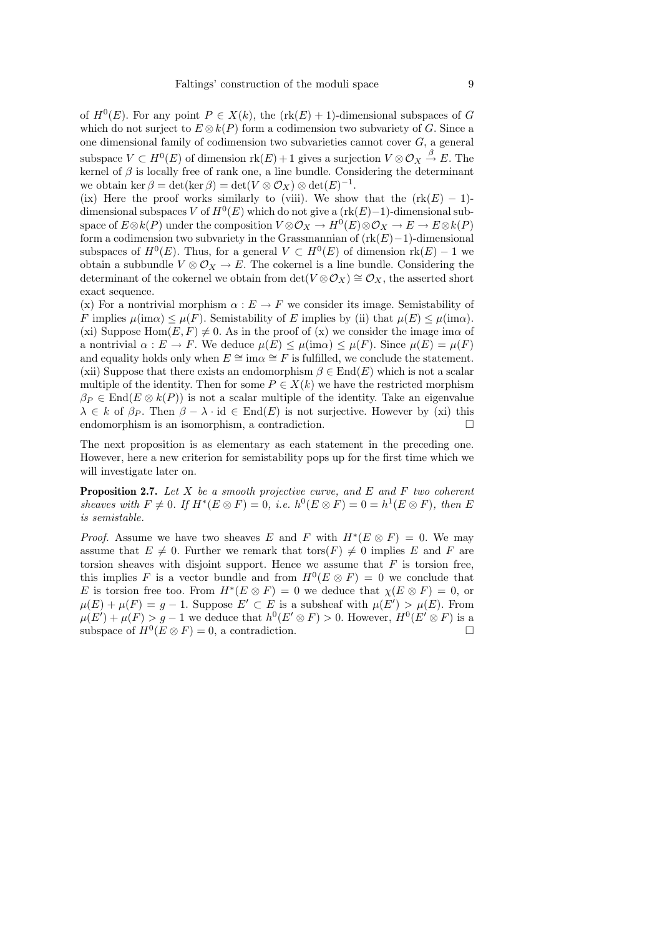of  $H^0(E)$ . For any point  $P \in X(k)$ , the  $(\text{rk}(E) + 1)$ -dimensional subspaces of G which do not surject to  $E \otimes k(P)$  form a codimension two subvariety of G. Since a one dimensional family of codimension two subvarieties cannot cover  $G$ , a general subspace  $V \subset H^0(E)$  of dimension  $\text{rk}(E) + 1$  gives a surjection  $V \otimes \mathcal{O}_X \stackrel{\beta}{\to} E$ . The kernel of  $\beta$  is locally free of rank one, a line bundle. Considering the determinant we obtain ker  $\beta = \det(\ker \beta) = \det(V \otimes \mathcal{O}_X) \otimes \det(E)^{-1}$ .

(ix) Here the proof works similarly to (viii). We show that the  $(\text{rk}(E) - 1)$ dimensional subspaces V of  $H^0(E)$  which do not give a  $(\text{rk}(E)-1)$ -dimensional subspace of  $E \otimes k(P)$  under the composition  $V \otimes \mathcal{O}_X \to H^0(E) \otimes \mathcal{O}_X \to E \to E \otimes k(P)$ form a codimension two subvariety in the Grassmannian of  $(\text{rk}(E)-1)$ -dimensional subspaces of  $H^0(E)$ . Thus, for a general  $V \subset H^0(E)$  of dimension  $rk(E)-1$  we obtain a subbundle  $V \otimes \mathcal{O}_X \to E$ . The cokernel is a line bundle. Considering the determinant of the cokernel we obtain from  $\det(V \otimes \mathcal{O}_X) \cong \mathcal{O}_X$ , the asserted short exact sequence.

(x) For a nontrivial morphism  $\alpha : E \to F$  we consider its image. Semistability of F implies  $\mu(\text{im}\alpha) \leq \mu(F)$ . Semistability of E implies by (ii) that  $\mu(E) \leq \mu(\text{im}\alpha)$ . (xi) Suppose Hom $(E, F) \neq 0$ . As in the proof of (x) we consider the image ima of a nontrivial  $\alpha : E \to F$ . We deduce  $\mu(E) \leq \mu(\text{im}\alpha) \leq \mu(F)$ . Since  $\mu(E) = \mu(F)$ and equality holds only when  $E \cong \text{im}\alpha \cong F$  is fulfilled, we conclude the statement. (xii) Suppose that there exists an endomorphism  $\beta \in \text{End}(E)$  which is not a scalar multiple of the identity. Then for some  $P \in X(k)$  we have the restricted morphism  $\beta_P \in \text{End}(E \otimes k(P))$  is not a scalar multiple of the identity. Take an eigenvalue  $\lambda \in k$  of  $\beta_P$ . Then  $\beta - \lambda \cdot id \in End(E)$  is not surjective. However by (xi) this endomorphism is an isomorphism, a contradiction.

The next proposition is as elementary as each statement in the preceding one. However, here a new criterion for semistability pops up for the first time which we will investigate later on.

**Proposition 2.7.** Let  $X$  be a smooth projective curve, and  $E$  and  $F$  two coherent sheaves with  $F \neq 0$ . If  $H^*(E \otimes F) = 0$ , i.e.  $h^0(E \otimes F) = 0 = h^1(E \otimes F)$ , then E is semistable.

*Proof.* Assume we have two sheaves E and F with  $H^*(E \otimes F) = 0$ . We may assume that  $E \neq 0$ . Further we remark that  $\text{tors}(F) \neq 0$  implies E and F are torsion sheaves with disjoint support. Hence we assume that  $F$  is torsion free, this implies F is a vector bundle and from  $H^0(E \otimes F) = 0$  we conclude that E is torsion free too. From  $H^*(E \otimes F) = 0$  we deduce that  $\chi(E \otimes F) = 0$ , or  $\mu(E) + \mu(F) = g - 1$ . Suppose  $E' \subset E$  is a subsheaf with  $\mu(E') > \mu(E)$ . From  $\mu(E') + \mu(F) > g - 1$  we deduce that  $h^0(E' \otimes F) > 0$ . However,  $H^0(E' \otimes F)$  is a subspace of  $H^0(E \otimes F) = 0$ , a contradiction.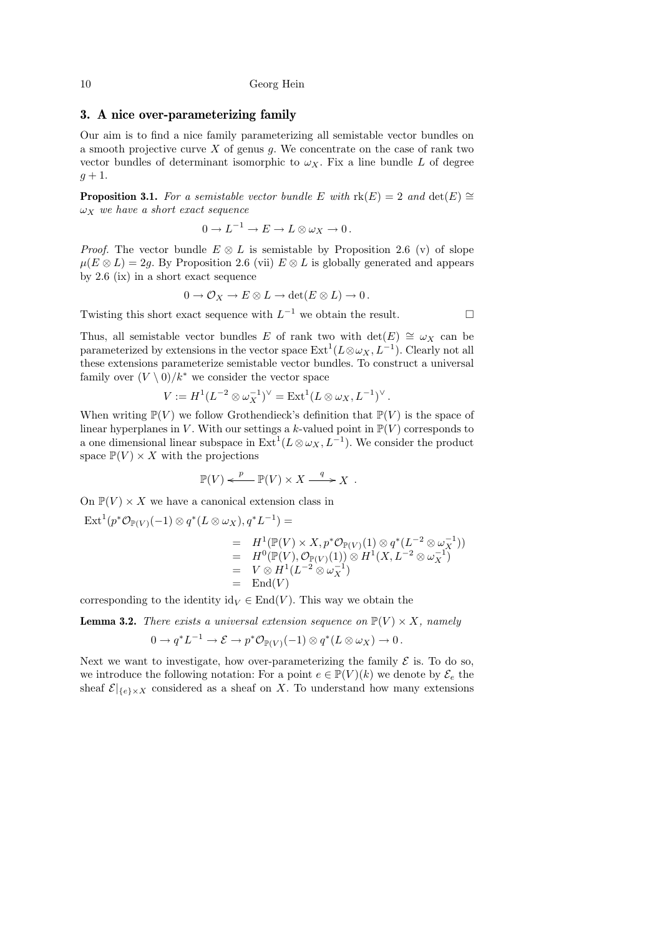# 3. A nice over-parameterizing family

Our aim is to find a nice family parameterizing all semistable vector bundles on a smooth projective curve  $X$  of genus  $g$ . We concentrate on the case of rank two vector bundles of determinant isomorphic to  $\omega_X$ . Fix a line bundle L of degree  $g+1$ .

**Proposition 3.1.** For a semistable vector bundle E with rk(E) = 2 and  $\det(E) \cong$  $\omega_X$  we have a short exact sequence

$$
0 \to L^{-1} \to E \to L \otimes \omega_X \to 0.
$$

*Proof.* The vector bundle  $E \otimes L$  is semistable by Proposition 2.6 (v) of slope  $\mu(E \otimes L) = 2g$ . By Proposition 2.6 (vii)  $E \otimes L$  is globally generated and appears by 2.6 (ix) in a short exact sequence

$$
0 \to \mathcal{O}_X \to E \otimes L \to \det(E \otimes L) \to 0.
$$

Twisting this short exact sequence with  $L^{-1}$  we obtain the result.  $\Box$ 

Thus, all semistable vector bundles E of rank two with  $\det(E) \cong \omega_X$  can be parameterized by extensions in the vector space  $\mathrm{Ext}^1(L \otimes \omega_X, L^{-1})$ . Clearly not all these extensions parameterize semistable vector bundles. To construct a universal family over  $(V \setminus 0)/k^*$  we consider the vector space

$$
V := H1(L-2 \otimes \omega_X^{-1})^{\vee} = \text{Ext}^1(L \otimes \omega_X, L-1)^{\vee}.
$$

When writing  $\mathbb{P}(V)$  we follow Grothendieck's definition that  $\mathbb{P}(V)$  is the space of linear hyperplanes in V. With our settings a k-valued point in  $\mathbb{P}(V)$  corresponds to a one dimensional linear subspace in  $\mathrm{Ext}^1(L \otimes \omega_X, L^{-1})$ . We consider the product space  $\mathbb{P}(V) \times X$  with the projections

$$
\mathbb{P}(V) \xleftarrow{p} \mathbb{P}(V) \times X \xrightarrow{q} X .
$$

On  $\mathbb{P}(V) \times X$  we have a canonical extension class in

$$
\operatorname{Ext}^1(p^*\mathcal{O}_{\mathbb{P}(V)}(-1) \otimes q^*(L \otimes \omega_X), q^*L^{-1}) =
$$
\n
$$
= H^1(\mathbb{P}(V) \times X, p^*\mathcal{O}_{\mathbb{P}(V)}(1) \otimes q^*(L^{-2} \otimes \omega_X^{-1}))
$$
\n
$$
= H^0(\mathbb{P}(V), \mathcal{O}_{\mathbb{P}(V)}(1)) \otimes H^1(X, L^{-2} \otimes \omega_X^{-1})
$$
\n
$$
= V \otimes H^1(L^{-2} \otimes \omega_X^{-1})
$$
\n
$$
= \operatorname{End}(V)
$$

corresponding to the identity  $id_V \in End(V)$ . This way we obtain the

**Lemma 3.2.** There exists a universal extension sequence on  $\mathbb{P}(V) \times X$ , namely

$$
0 \to q^* L^{-1} \to \mathcal{E} \to p^* \mathcal{O}_{\mathbb{P}(V)}(-1) \otimes q^*(L \otimes \omega_X) \to 0.
$$

Next we want to investigate, how over-parameterizing the family  $\mathcal E$  is. To do so, we introduce the following notation: For a point  $e \in \mathbb{P}(V)(k)$  we denote by  $\mathcal{E}_e$  the sheaf  $\mathcal{E}|_{\{e\}\times X}$  considered as a sheaf on X. To understand how many extensions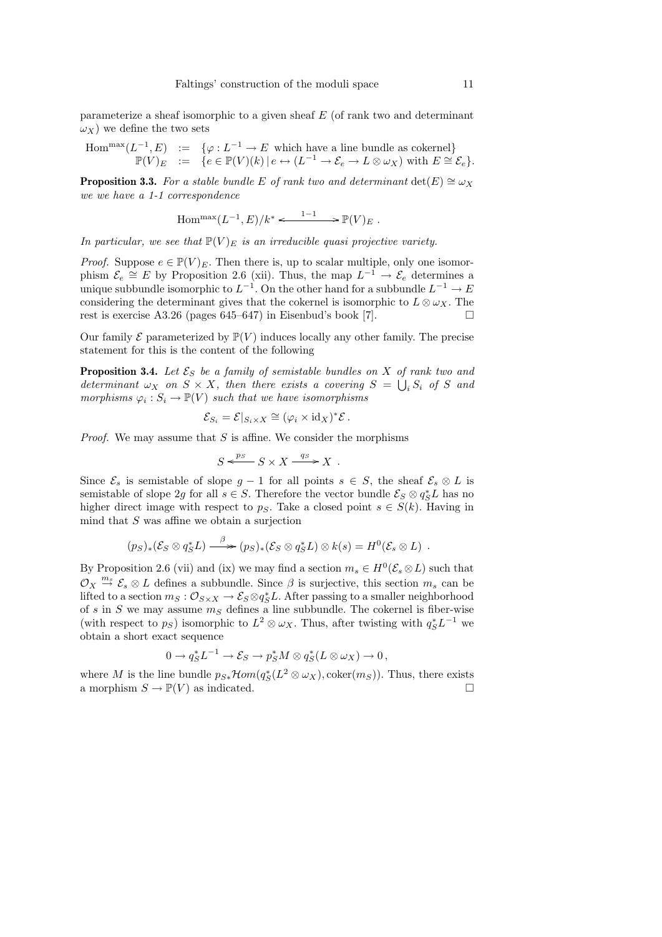parameterize a sheaf isomorphic to a given sheaf E (of rank two and determinant  $\omega_X$ ) we define the two sets

$$
\text{Hom}^{\text{max}}(L^{-1}, E) \quad := \quad \{ \varphi : L^{-1} \to E \text{ which have a line bundle as cokernel} \} \\ \mathbb{P}(V)_E \quad := \quad \{ e \in \mathbb{P}(V)(k) \mid e \leftrightarrow (L^{-1} \to \mathcal{E}_e \to L \otimes \omega_X) \text{ with } E \cong \mathcal{E}_e \}.
$$

**Proposition 3.3.** For a stable bundle E of rank two and determinant  $\det(E) \cong \omega_X$ we we have a 1-1 correspondence

$$
\operatorname{Hom}^{\max}(L^{-1},E)/k^* \xleftarrow{1-1} \mathbb{P}(V)_E.
$$

In particular, we see that  $\mathbb{P}(V)_E$  is an irreducible quasi projective variety.

*Proof.* Suppose  $e \in \mathbb{P}(V)_E$ . Then there is, up to scalar multiple, only one isomorphism  $\mathcal{E}_e \cong E$  by Proposition 2.6 (xii). Thus, the map  $L^{-1} \to \mathcal{E}_e$  determines a unique subbundle isomorphic to  $L^{-1}$ . On the other hand for a subbundle  $L^{-1} \to E$ considering the determinant gives that the cokernel is isomorphic to  $L \otimes \omega_X$ . The rest is exercise A3.26 (pages 645–647) in Eisenbud's book [7].

Our family  $\mathcal E$  parameterized by  $\mathbb P(V)$  induces locally any other family. The precise statement for this is the content of the following

**Proposition 3.4.** Let  $\mathcal{E}_S$  be a family of semistable bundles on X of rank two and determinant  $\omega_X$  on  $S \times X$ , then there exists a covering  $S = \bigcup_i S_i$  of S and morphisms  $\varphi_i : S_i \to \mathbb{P}(V)$  such that we have isomorphisms

$$
\mathcal{E}_{S_i} = \mathcal{E}|_{S_i \times X} \cong (\varphi_i \times \mathrm{id}_X)^* \mathcal{E}.
$$

*Proof.* We may assume that  $S$  is affine. We consider the morphisms

$$
S \xleftarrow{p_S} S \times X \xrightarrow{q_S} X .
$$

Since  $\mathcal{E}_s$  is semistable of slope  $g-1$  for all points  $s \in S$ , the sheaf  $\mathcal{E}_s \otimes L$  is semistable of slope 2g for all  $s \in S$ . Therefore the vector bundle  $\mathcal{E}_S \otimes q_S^* L$  has no higher direct image with respect to ps. Take a closed point  $s \in S(k)$ . Having in mind that  $S$  was affine we obtain a surjection

$$
(p_S)_*(\mathcal{E}_S \otimes q_S^* L) \stackrel{\beta}{\longrightarrow} (p_S)_*(\mathcal{E}_S \otimes q_S^* L) \otimes k(s) = H^0(\mathcal{E}_s \otimes L) .
$$

By Proposition 2.6 (vii) and (ix) we may find a section  $m_s \in H^0(\mathcal{E}_s \otimes L)$  such that  $\mathcal{O}_X \stackrel{m_s}{\to} \mathcal{E}_s \otimes L$  defines a subbundle. Since  $\beta$  is surjective, this section  $m_s$  can be lifted to a section  $m_S: \mathcal{O}_{S \times X} \to \mathcal{E}_S \otimes q_S^* L$ . After passing to a smaller neighborhood of s in S we may assume  $m<sub>S</sub>$  defines a line subbundle. The cokernel is fiber-wise (with respect to  $p_S$ ) isomorphic to  $L^2 \otimes \omega_X$ . Thus, after twisting with  $q_S^* L^{-1}$  we obtain a short exact sequence

$$
0 \to q_S^* L^{-1} \to \mathcal{E}_S \to p_S^* M \otimes q_S^* (L \otimes \omega_X) \to 0,
$$

where M is the line bundle  $p_{S*} \mathcal{H}om(q_S^*(L^2 \otimes \omega_X), \text{coker}(m_S))$ . Thus, there exists a morphism  $S \to \mathbb{P}(V)$  as indicated.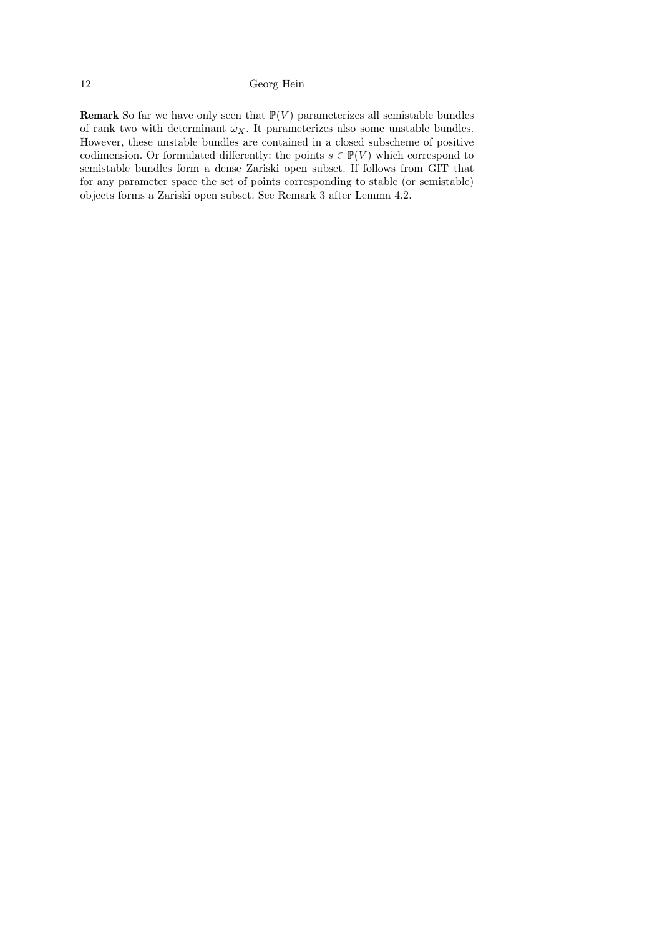**Remark** So far we have only seen that  $\mathbb{P}(V)$  parameterizes all semistable bundles of rank two with determinant  $\omega_X$ . It parameterizes also some unstable bundles. However, these unstable bundles are contained in a closed subscheme of positive codimension. Or formulated differently: the points  $s \in \mathbb{P}(V)$  which correspond to semistable bundles form a dense Zariski open subset. If follows from GIT that for any parameter space the set of points corresponding to stable (or semistable) objects forms a Zariski open subset. See Remark 3 after Lemma 4.2.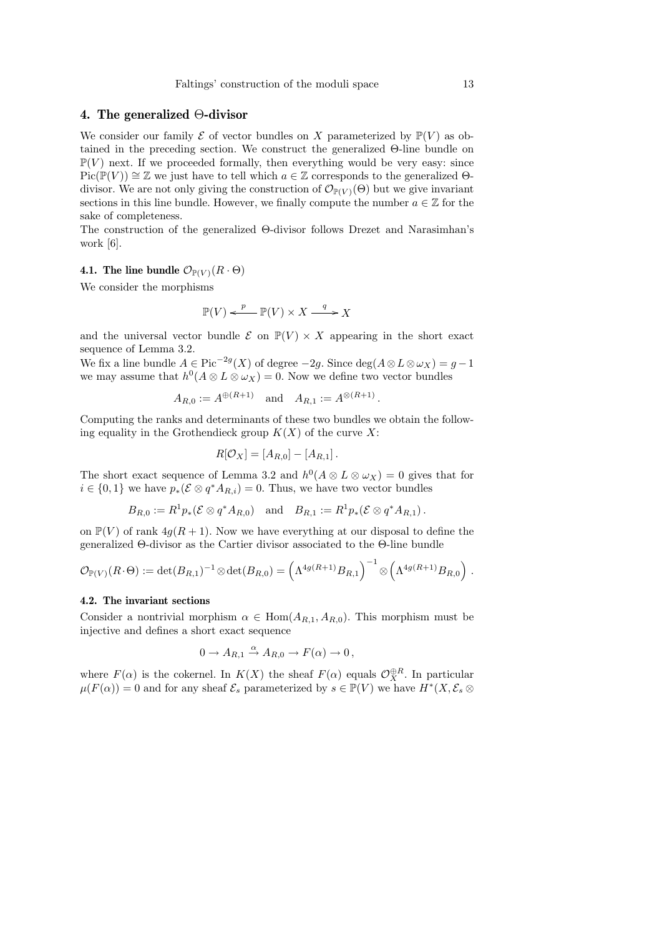# 4. The generalized Θ-divisor

We consider our family  $\mathcal E$  of vector bundles on X parameterized by  $\mathbb P(V)$  as obtained in the preceding section. We construct the generalized Θ-line bundle on  $\mathbb{P}(V)$  next. If we proceeded formally, then everything would be very easy: since  $Pic(\mathbb{P}(V)) \cong \mathbb{Z}$  we just have to tell which  $a \in \mathbb{Z}$  corresponds to the generalized  $\Theta$ divisor. We are not only giving the construction of  $\mathcal{O}_{\mathbb{P}(V)}(\Theta)$  but we give invariant sections in this line bundle. However, we finally compute the number  $a \in \mathbb{Z}$  for the sake of completeness.

The construction of the generalized Θ-divisor follows Drezet and Narasimhan's work [6].

# 4.1. The line bundle  $\mathcal{O}_{\mathbb{P}(V)}(R \cdot \Theta)$

We consider the morphisms

$$
\mathbb{P}(V) \xleftarrow{p} \mathbb{P}(V) \times X \xrightarrow{q} X
$$

and the universal vector bundle  $\mathcal E$  on  $\mathbb P(V) \times X$  appearing in the short exact sequence of Lemma 3.2.

We fix a line bundle  $A \in \text{Pic}^{-2g}(X)$  of degree  $-2g$ . Since  $\deg(A \otimes L \otimes \omega_X) = g - 1$ we may assume that  $h^0(A \otimes L \otimes \omega_X) = 0$ . Now we define two vector bundles

$$
A_{R,0} := A^{\oplus (R+1)}
$$
 and  $A_{R,1} := A^{\otimes (R+1)}$ .

Computing the ranks and determinants of these two bundles we obtain the following equality in the Grothendieck group  $K(X)$  of the curve X:

$$
R[\mathcal{O}_X] = [A_{R,0}] - [A_{R,1}].
$$

The short exact sequence of Lemma 3.2 and  $h^0(A \otimes L \otimes \omega_X) = 0$  gives that for  $i \in \{0,1\}$  we have  $p_*(\mathcal{E} \otimes q^*A_{R,i}) = 0$ . Thus, we have two vector bundles

$$
B_{R,0} := R^1 p_* (\mathcal{E} \otimes q^* A_{R,0}) \quad \text{and} \quad B_{R,1} := R^1 p_* (\mathcal{E} \otimes q^* A_{R,1}).
$$

on  $\mathbb{P}(V)$  of rank  $4g(R+1)$ . Now we have everything at our disposal to define the generalized Θ-divisor as the Cartier divisor associated to the Θ-line bundle

$$
\mathcal{O}_{\mathbb{P}(V)}(R\cdot\Theta) := \det(B_{R,1})^{-1} \otimes \det(B_{R,0}) = \left(\Lambda^{4g(R+1)}B_{R,1}\right)^{-1} \otimes \left(\Lambda^{4g(R+1)}B_{R,0}\right).
$$

### 4.2. The invariant sections

Consider a nontrivial morphism  $\alpha \in \text{Hom}(A_{R,1}, A_{R,0})$ . This morphism must be injective and defines a short exact sequence

$$
0 \to A_{R,1} \xrightarrow{\alpha} A_{R,0} \to F(\alpha) \to 0,
$$

where  $F(\alpha)$  is the cokernel. In  $K(X)$  the sheaf  $F(\alpha)$  equals  $\mathcal{O}_X^{\oplus R}$ . In particular  $\mu(F(\alpha)) = 0$  and for any sheaf  $\mathcal{E}_s$  parameterized by  $s \in \mathbb{P}(V)$  we have  $H^*(X, \mathcal{E}_s \otimes$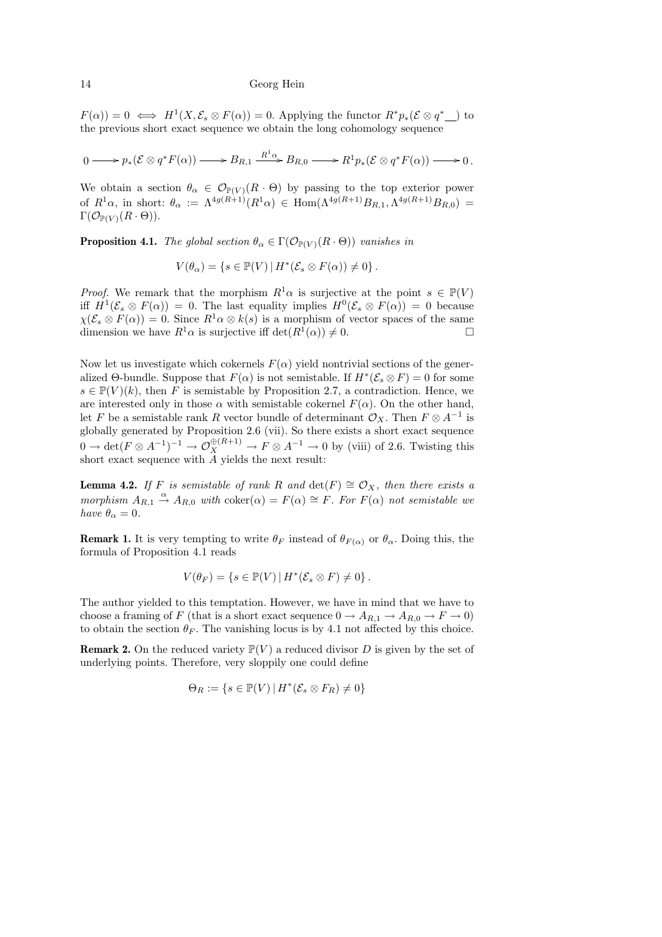$F(\alpha) = 0 \iff H^1(X, \mathcal{E}_s \otimes F(\alpha)) = 0.$  Applying the functor  $R^*p_*(\mathcal{E} \otimes q^*$  to the previous short exact sequence we obtain the long cohomology sequence

$$
0 \longrightarrow p_*(\mathcal{E} \otimes q^*F(\alpha)) \longrightarrow B_{R,1} \xrightarrow{R^1 \alpha} B_{R,0} \longrightarrow R^1p_*(\mathcal{E} \otimes q^*F(\alpha)) \longrightarrow 0.
$$

We obtain a section  $\theta_{\alpha} \in \mathcal{O}_{\mathbb{P}(V)}(R \cdot \Theta)$  by passing to the top exterior power of  $R^1\alpha$ , in short:  $\theta_\alpha := \Lambda^{4g(R+1)}(R^1\alpha) \in \text{Hom}(\Lambda^{4g(R+1)}B_{R,1}, \Lambda^{4g(R+1)}B_{R,0}) =$  $\Gamma(\mathcal{O}_{\mathbb{P}(V)}(R \cdot \Theta)).$ 

**Proposition 4.1.** The global section  $\theta_{\alpha} \in \Gamma(\mathcal{O}_{\mathbb{P}(V)}(R \cdot \Theta))$  vanishes in

$$
V(\theta_{\alpha}) = \{ s \in \mathbb{P}(V) \, | \, H^*(\mathcal{E}_s \otimes F(\alpha)) \neq 0 \} \, .
$$

*Proof.* We remark that the morphism  $R^1\alpha$  is surjective at the point  $s \in \mathbb{P}(V)$ iff  $H^1(\mathcal{E}_s \otimes F(\alpha)) = 0$ . The last equality implies  $H^0(\mathcal{E}_s \otimes F(\alpha)) = 0$  because  $\chi(\mathcal{E}_s \otimes F(\alpha)) = 0$ . Since  $R^1 \alpha \otimes k(s)$  is a morphism of vector spaces of the same dimension we have  $R^1\alpha$  is surjective iff  $\det(R^1(\alpha)) \neq 0$ .

Now let us investigate which cokernels  $F(\alpha)$  yield nontrivial sections of the generalized  $\Theta$ -bundle. Suppose that  $F(\alpha)$  is not semistable. If  $H^*(\mathcal{E}_s \otimes F) = 0$  for some  $s \in \mathbb{P}(V)(k)$ , then F is semistable by Proposition 2.7, a contradiction. Hence, we are interested only in those  $\alpha$  with semistable cokernel  $F(\alpha)$ . On the other hand, let F be a semistable rank R vector bundle of determinant  $\mathcal{O}_X$ . Then  $F \otimes A^{-1}$  is globally generated by Proposition 2.6 (vii). So there exists a short exact sequence  $0 \to \det(F \otimes A^{-1})^{-1} \to \mathcal{O}_X^{\oplus (R+1)} \to F \otimes A^{-1} \to 0$  by (viii) of 2.6. Twisting this short exact sequence with A yields the next result:

**Lemma 4.2.** If F is semistable of rank R and  $\det(F) \cong \mathcal{O}_X$ , then there exists a morphism  $A_{R,1} \stackrel{\alpha}{\rightarrow} A_{R,0}$  with  $\text{coker}(\alpha) = F(\alpha) \cong F$ . For  $F(\alpha)$  not semistable we have  $\theta_{\alpha} = 0$ .

**Remark 1.** It is very tempting to write  $\theta_F$  instead of  $\theta_{F(\alpha)}$  or  $\theta_{\alpha}$ . Doing this, the formula of Proposition 4.1 reads

$$
V(\theta_F) = \{ s \in \mathbb{P}(V) \, | \, H^*(\mathcal{E}_s \otimes F) \neq 0 \} \, .
$$

The author yielded to this temptation. However, we have in mind that we have to choose a framing of F (that is a short exact sequence  $0 \to A_{R,1} \to A_{R,0} \to F \to 0$ ) to obtain the section  $\theta_F$ . The vanishing locus is by 4.1 not affected by this choice.

**Remark 2.** On the reduced variety  $\mathbb{P}(V)$  a reduced divisor D is given by the set of underlying points. Therefore, very sloppily one could define

$$
\Theta_R := \{ s \in \mathbb{P}(V) \, | \, H^*(\mathcal{E}_s \otimes F_R) \neq 0 \}
$$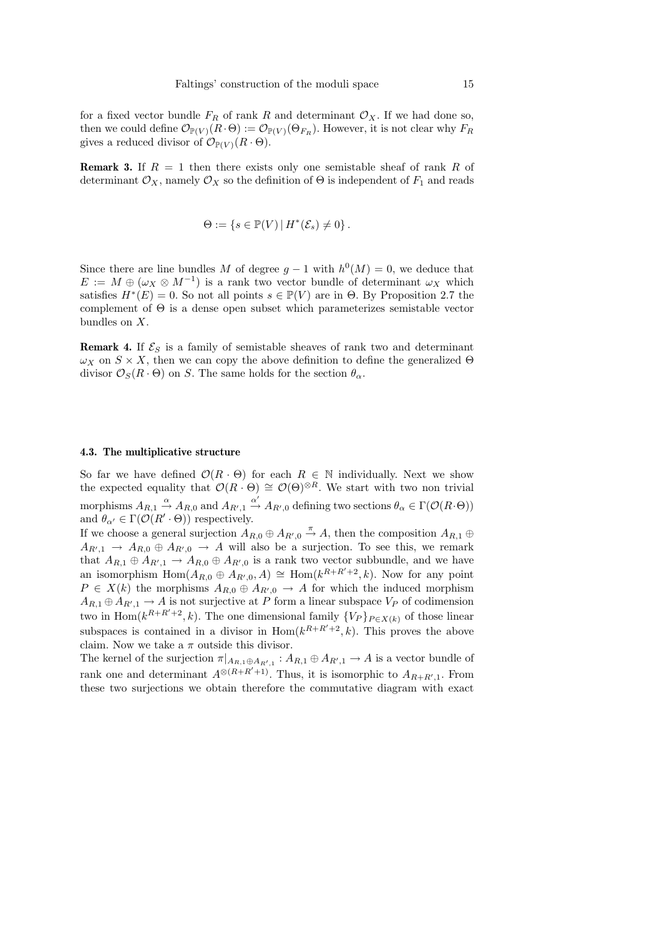for a fixed vector bundle  $F_R$  of rank R and determinant  $\mathcal{O}_X$ . If we had done so, then we could define  $\mathcal{O}_{\mathbb{P}(V)}(R \cdot \Theta) := \mathcal{O}_{\mathbb{P}(V)}(\Theta_{F_R})$ . However, it is not clear why  $F_R$ gives a reduced divisor of  $\mathcal{O}_{\mathbb{P}(V)}(R \cdot \Theta)$ .

**Remark 3.** If  $R = 1$  then there exists only one semistable sheaf of rank R of determinant  $\mathcal{O}_X$ , namely  $\mathcal{O}_X$  so the definition of  $\Theta$  is independent of  $F_1$  and reads

$$
\Theta := \{ s \in \mathbb{P}(V) \, | \, H^*(\mathcal{E}_s) \neq 0 \} \, .
$$

Since there are line bundles M of degree  $g-1$  with  $h^0(M)=0$ , we deduce that  $E := M \oplus (\omega_X \otimes M^{-1})$  is a rank two vector bundle of determinant  $\omega_X$  which satisfies  $H^*(E) = 0$ . So not all points  $s \in \mathbb{P}(V)$  are in  $\Theta$ . By Proposition 2.7 the complement of Θ is a dense open subset which parameterizes semistable vector bundles on X.

**Remark 4.** If  $\mathcal{E}_S$  is a family of semistable sheaves of rank two and determinant  $\omega_X$  on  $S \times X$ , then we can copy the above definition to define the generalized  $\Theta$ divisor  $\mathcal{O}_S(R \cdot \Theta)$  on S. The same holds for the section  $\theta_\alpha$ .

#### 4.3. The multiplicative structure

So far we have defined  $\mathcal{O}(R \cdot \Theta)$  for each  $R \in \mathbb{N}$  individually. Next we show the expected equality that  $\mathcal{O}(R \cdot \Theta) \cong \mathcal{O}(\Theta)^{\otimes R}$ . We start with two non trivial morphisms  $A_{R,1} \stackrel{\alpha}{\rightarrow} A_{R,0}$  and  $A_{R',1} \stackrel{\alpha'}{\rightarrow} A_{R',0}$  defining two sections  $\theta_{\alpha} \in \Gamma(\mathcal{O}(R \cdot \Theta))$ and  $\theta_{\alpha'} \in \Gamma(\mathcal{O}(R' \cdot \Theta))$  respectively.

If we choose a general surjection  $A_{R,0} \oplus A_{R',0} \stackrel{\pi}{\to} A$ , then the composition  $A_{R,1} \oplus$  $A_{R',1} \rightarrow A_{R,0} \oplus A_{R',0} \rightarrow A$  will also be a surjection. To see this, we remark that  $A_{R,1} \oplus A_{R',1} \to A_{R,0} \oplus A_{R',0}$  is a rank two vector subbundle, and we have an isomorphism  $\text{Hom}(A_{R,0} \oplus A_{R',0}, A) \cong \text{Hom}(k^{R+R'+2}, k)$ . Now for any point  $P \in X(k)$  the morphisms  $A_{R,0} \oplus A_{R',0} \to A$  for which the induced morphism  $A_{R,1} \oplus A_{R',1} \to A$  is not surjective at P form a linear subspace  $V_P$  of codimension two in Hom( $k^{R+R'+2}$ , k). The one dimensional family  $\{V_P\}_{P\in X(k)}$  of those linear subspaces is contained in a divisor in  $\text{Hom}(k^{R+R'+2},k)$ . This proves the above claim. Now we take a  $\pi$  outside this divisor.

The kernel of the surjection  $\pi|_{A_{R,1} \oplus A_{R',1}} : A_{R,1} \oplus A_{R',1} \to A$  is a vector bundle of rank one and determinant  $A^{\otimes (R+R'+1)}$ . Thus, it is isomorphic to  $A_{R+R',1}$ . From these two surjections we obtain therefore the commutative diagram with exact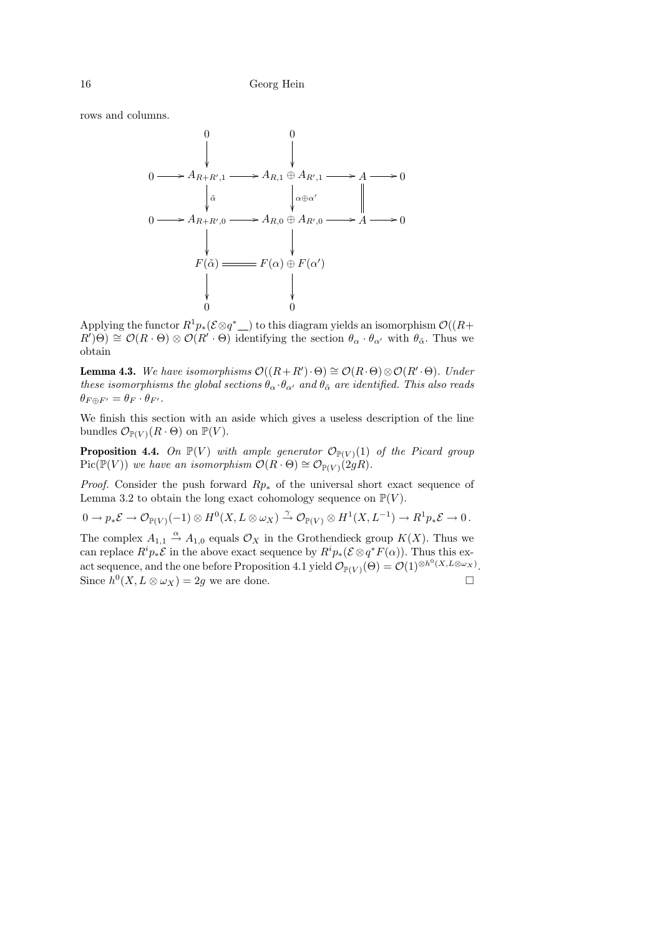rows and columns.



Applying the functor  $R^1p_*(\mathcal{E} \otimes q^*$ ) to this diagram yields an isomorphism  $\mathcal{O}((R+$ ∗  $R'(\Theta) \cong \mathcal{O}(R \cdot \Theta) \otimes \mathcal{O}(R' \cdot \Theta)$  identifying the section  $\theta_{\alpha} \cdot \theta_{\alpha'}$  with  $\theta_{\alpha}$ . Thus we obtain

**Lemma 4.3.** We have isomorphisms  $\mathcal{O}((R+R')\cdot\Theta) \cong \mathcal{O}(R\cdot\Theta) \otimes \mathcal{O}(R'\cdot\Theta)$ . Under these isomorphisms the global sections  $\theta_{\alpha} \cdot \theta_{\alpha'}$  and  $\theta_{\tilde{\alpha}}$  are identified. This also reads  $\theta_{F\oplus F'} = \theta_F \cdot \theta_{F'}.$ 

We finish this section with an aside which gives a useless description of the line bundles  $\mathcal{O}_{\mathbb{P}(V)}(R \cdot \Theta)$  on  $\mathbb{P}(V)$ .

**Proposition 4.4.** On  $\mathbb{P}(V)$  with ample generator  $\mathcal{O}_{\mathbb{P}(V)}(1)$  of the Picard group  $Pic(\mathbb{P}(V))$  we have an isomorphism  $\mathcal{O}(R \cdot \Theta) \cong \mathcal{O}_{\mathbb{P}(V)}(2gR)$ .

*Proof.* Consider the push forward  $Rp_*$  of the universal short exact sequence of Lemma 3.2 to obtain the long exact cohomology sequence on  $\mathbb{P}(V)$ .

$$
0 \to p_*\mathcal{E} \to \mathcal{O}_{\mathbb{P}(V)}(-1) \otimes H^0(X, L \otimes \omega_X) \xrightarrow{\gamma} \mathcal{O}_{\mathbb{P}(V)} \otimes H^1(X, L^{-1}) \to R^1p_*\mathcal{E} \to 0.
$$

The complex  $A_{1,1} \stackrel{\alpha}{\rightarrow} A_{1,0}$  equals  $\mathcal{O}_X$  in the Grothendieck group  $K(X)$ . Thus we can replace  $R^i p_* \mathcal{E}$  in the above exact sequence by  $R^i p_* (\mathcal{E} \otimes q^* F(\alpha))$ . Thus this exact sequence, and the one before Proposition 4.1 yield  $\mathcal{O}_{\mathbb{P}(V)}(\Theta) = \mathcal{O}(1)^{\otimes h^0(X,L\otimes \omega_X)}$ . Since  $h^0(X, L \otimes \omega_X) = 2g$  we are done.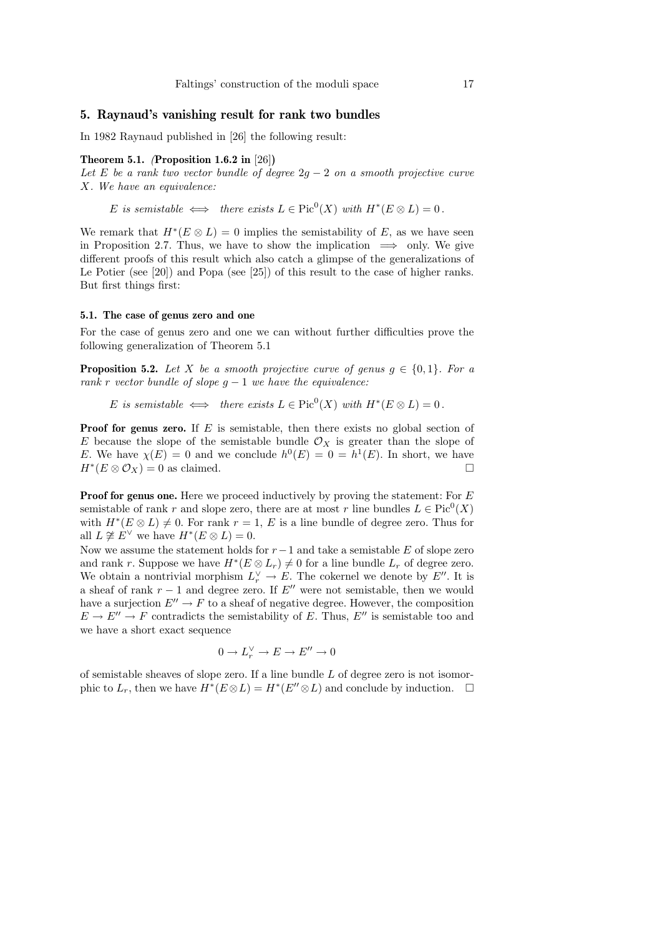# 5. Raynaud's vanishing result for rank two bundles

In 1982 Raynaud published in [26] the following result:

# Theorem 5.1. (Proposition 1.6.2 in [26])

Let E be a rank two vector bundle of degree  $2g - 2$  on a smooth projective curve X. We have an equivalence:

E is semistable  $\iff$  there exists  $L \in Pic^0(X)$  with  $H^*(E \otimes L) = 0$ .

We remark that  $H^*(E \otimes L) = 0$  implies the semistability of E, as we have seen in Proposition 2.7. Thus, we have to show the implication  $\implies$  only. We give different proofs of this result which also catch a glimpse of the generalizations of Le Potier (see [20]) and Popa (see [25]) of this result to the case of higher ranks. But first things first:

# 5.1. The case of genus zero and one

For the case of genus zero and one we can without further difficulties prove the following generalization of Theorem 5.1

**Proposition 5.2.** Let X be a smooth projective curve of genus  $g \in \{0,1\}$ . For a rank r vector bundle of slope  $g - 1$  we have the equivalence:

E is semistable  $\iff$  there exists  $L \in Pic^0(X)$  with  $H^*(E \otimes L) = 0$ .

**Proof for genus zero.** If  $E$  is semistable, then there exists no global section of E because the slope of the semistable bundle  $\mathcal{O}_X$  is greater than the slope of E. We have  $\chi(E) = 0$  and we conclude  $h^0(E) = 0 = h^1(E)$ . In short, we have  $H^*(E \otimes \mathcal{O}_X) = 0$  as claimed.

**Proof for genus one.** Here we proceed inductively by proving the statement: For E semistable of rank r and slope zero, there are at most r line bundles  $L \in Pic^0(X)$ with  $H^*(E \otimes L) \neq 0$ . For rank  $r = 1$ , E is a line bundle of degree zero. Thus for all  $L \not\cong E^{\vee}$  we have  $H^*(E \otimes L) = 0$ .

Now we assume the statement holds for  $r-1$  and take a semistable E of slope zero and rank r. Suppose we have  $H^*(E \otimes L_r) \neq 0$  for a line bundle  $L_r$  of degree zero. We obtain a nontrivial morphism  $L_r^{\vee} \to E$ . The cokernel we denote by  $E''$ . It is a sheaf of rank  $r - 1$  and degree zero. If  $E''$  were not semistable, then we would have a surjection  $E'' \to F$  to a sheaf of negative degree. However, the composition  $E \to E'' \to F$  contradicts the semistability of E. Thus, E'' is semistable too and we have a short exact sequence

$$
0 \to L_r^{\vee} \to E \to E'' \to 0
$$

of semistable sheaves of slope zero. If a line bundle  $L$  of degree zero is not isomorphic to  $L_r$ , then we have  $H^*(E \otimes L) = H^*(E'' \otimes L)$  and conclude by induction.  $\square$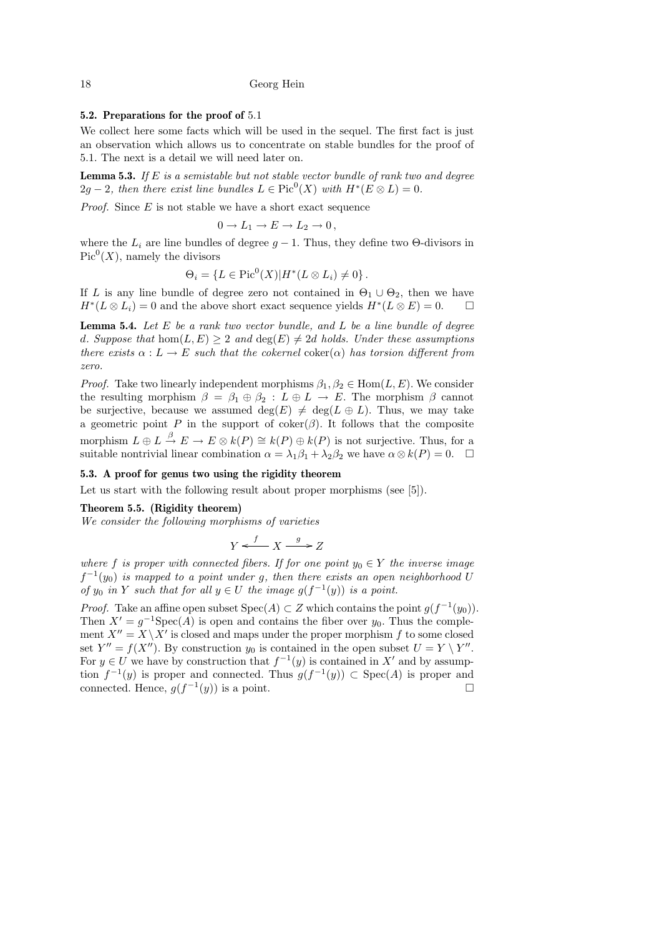# 5.2. Preparations for the proof of 5.1

We collect here some facts which will be used in the sequel. The first fact is just an observation which allows us to concentrate on stable bundles for the proof of 5.1. The next is a detail we will need later on.

**Lemma 5.3.** If  $E$  is a semistable but not stable vector bundle of rank two and degree  $2g-2$ , then there exist line bundles  $L \in Pic^0(X)$  with  $H^*(E \otimes L) = 0$ .

*Proof.* Since  $E$  is not stable we have a short exact sequence

$$
0\to L_1\to E\to L_2\to 0\,,
$$

where the  $L_i$  are line bundles of degree  $g - 1$ . Thus, they define two  $\Theta$ -divisors in  $Pic<sup>0</sup>(X)$ , namely the divisors

$$
\Theta_i = \{ L \in Pic^0(X) | H^*(L \otimes L_i) \neq 0 \}.
$$

If L is any line bundle of degree zero not contained in  $\Theta_1 \cup \Theta_2$ , then we have  $H^*(L \otimes L_i) = 0$  and the above short exact sequence yields  $H^*(L \otimes E) = 0$ .  $\Box$ 

**Lemma 5.4.** Let  $E$  be a rank two vector bundle, and  $L$  be a line bundle of degree d. Suppose that  $hom(L, E) \geq 2$  and  $deg(E) \neq 2d$  holds. Under these assumptions there exists  $\alpha : L \to E$  such that the cokernel coker( $\alpha$ ) has torsion different from zero.

*Proof.* Take two linearly independent morphisms  $\beta_1, \beta_2 \in \text{Hom}(L, E)$ . We consider the resulting morphism  $\beta = \beta_1 \oplus \beta_2 : L \oplus L \rightarrow E$ . The morphism  $\beta$  cannot be surjective, because we assumed  $deg(E) \neq deg(L \oplus L)$ . Thus, we may take a geometric point P in the support of  $coker(\beta)$ . It follows that the composite morphism  $L \oplus L \stackrel{\beta}{\to} E \to E \otimes k(P) \cong k(P) \oplus k(P)$  is not surjective. Thus, for a suitable nontrivial linear combination  $\alpha = \lambda_1 \beta_1 + \lambda_2 \beta_2$  we have  $\alpha \otimes k(P) = 0$ .  $\Box$ 

### 5.3. A proof for genus two using the rigidity theorem

Let us start with the following result about proper morphisms (see [5]).

### Theorem 5.5. (Rigidity theorem)

We consider the following morphisms of varieties

$$
Y \xleftarrow{f} X \xrightarrow{g} Z
$$

where f is proper with connected fibers. If for one point  $y_0 \in Y$  the inverse image  $f^{-1}(y_0)$  is mapped to a point under g, then there exists an open neighborhood U of  $y_0$  in Y such that for all  $y \in U$  the image  $g(f^{-1}(y))$  is a point.

*Proof.* Take an affine open subset  $Spec(A) \subset Z$  which contains the point  $g(f^{-1}(y_0))$ . Then  $X' = g^{-1}Spec(A)$  is open and contains the fiber over  $y_0$ . Thus the complement  $X'' = X \setminus X'$  is closed and maps under the proper morphism f to some closed set  $Y'' = f(X'')$ . By construction  $y_0$  is contained in the open subset  $U = Y \setminus Y''$ . For  $y \in U$  we have by construction that  $f^{-1}(y)$  is contained in X' and by assumption  $f^{-1}(y)$  is proper and connected. Thus  $g(f^{-1}(y)) \subset \text{Spec}(A)$  is proper and connected. Hence,  $g(f^{-1}(y))$  is a point.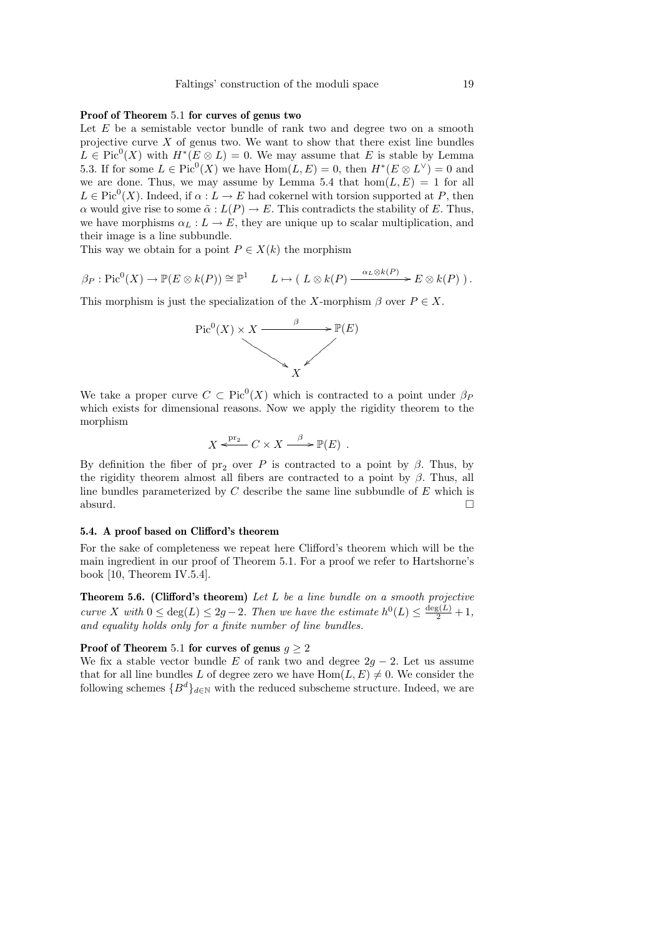# Proof of Theorem 5.1 for curves of genus two

Let  $E$  be a semistable vector bundle of rank two and degree two on a smooth projective curve  $X$  of genus two. We want to show that there exist line bundles  $L \in Pic^{0}(X)$  with  $H^{*}(E \otimes L) = 0$ . We may assume that E is stable by Lemma 5.3. If for some  $L \in Pic^0(X)$  we have  $Hom(L, E) = 0$ , then  $H^*(E \otimes L^{\vee}) = 0$  and we are done. Thus, we may assume by Lemma 5.4 that  $hom(L, E) = 1$  for all  $L \in Pic^0(X)$ . Indeed, if  $\alpha: L \to E$  had cokernel with torsion supported at P, then α would give rise to some  $\tilde{\alpha}: L(P) \to E$ . This contradicts the stability of E. Thus, we have morphisms  $\alpha_L : L \to E$ , they are unique up to scalar multiplication, and their image is a line subbundle.

This way we obtain for a point  $P \in X(k)$  the morphism

$$
\beta_P : \mathrm{Pic}^0(X) \to \mathbb{P}(E \otimes k(P)) \cong \mathbb{P}^1 \qquad L \mapsto (L \otimes k(P) \xrightarrow{\alpha_L \otimes k(P)} E \otimes k(P)).
$$

This morphism is just the specialization of the X-morphism  $\beta$  over  $P \in X$ .



We take a proper curve  $C \subset Pic^0(X)$  which is contracted to a point under  $\beta_P$ which exists for dimensional reasons. Now we apply the rigidity theorem to the morphism

$$
X \xleftarrow{\text{pr}_2} C \times X \xrightarrow{\beta} \mathbb{P}(E) .
$$

By definition the fiber of pr<sub>2</sub> over P is contracted to a point by  $\beta$ . Thus, by the rigidity theorem almost all fibers are contracted to a point by  $\beta$ . Thus, all line bundles parameterized by  $C$  describe the same line subbundle of  $E$  which is absurd.  $\square$ 

### 5.4. A proof based on Clifford's theorem

For the sake of completeness we repeat here Clifford's theorem which will be the main ingredient in our proof of Theorem 5.1. For a proof we refer to Hartshorne's book [10, Theorem IV.5.4].

**Theorem 5.6.** (Clifford's theorem) Let  $L$  be a line bundle on a smooth projective curve X with  $0 \le \deg(L) \le 2g-2$ . Then we have the estimate  $h^0(L) \le \frac{\deg(L)}{2} + 1$ , and equality holds only for a finite number of line bundles.

### Proof of Theorem 5.1 for curves of genus  $q \ge 2$

We fix a stable vector bundle E of rank two and degree  $2g - 2$ . Let us assume that for all line bundles L of degree zero we have  $\text{Hom}(L, E) \neq 0$ . We consider the following schemes  ${B^d}_{d\in\mathbb{N}}$  with the reduced subscheme structure. Indeed, we are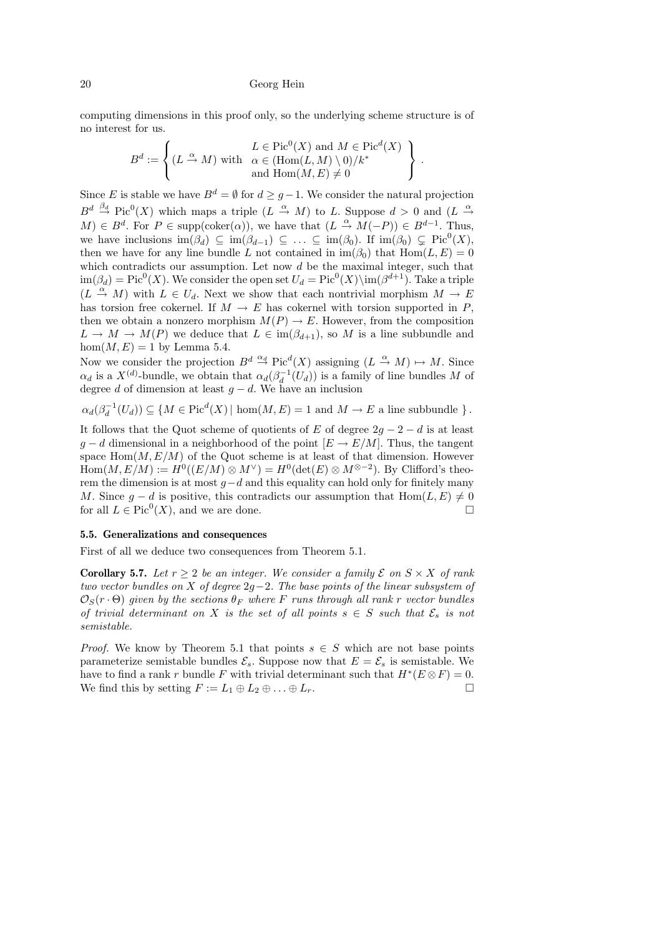computing dimensions in this proof only, so the underlying scheme structure is of no interest for us.

$$
B^d := \left\{ (L \stackrel{\alpha}{\to} M) \text{ with } \begin{array}{l} L \in \text{Pic}^0(X) \text{ and } M \in \text{Pic}^d(X) \\ \alpha \in (\text{Hom}(L, M) \setminus 0) / k^* \\ \text{and } \text{Hom}(M, E) \neq 0 \end{array} \right\}.
$$

Since E is stable we have  $B^d = \emptyset$  for  $d \geq g-1$ . We consider the natural projection  $B^d \stackrel{\beta_d}{\to} Pic^0(X)$  which maps a triple  $(L \stackrel{\alpha}{\to} M)$  to L. Suppose  $d > 0$  and  $(L \stackrel{\alpha}{\to}$  $M$ ) ∈  $B^d$ . For  $P \in \text{supp}(\text{coker}(\alpha))$ , we have that  $(L \stackrel{\alpha}{\to} M(-P)) \in B^{d-1}$ . Thus, we have inclusions  $\text{im}(\beta_d) \subseteq \text{im}(\beta_{d-1}) \subseteq \ldots \subseteq \text{im}(\beta_0)$ . If  $\text{im}(\beta_0) \subsetneq \text{Pic}^0(X)$ , then we have for any line bundle L not contained in  $\text{im}(\beta_0)$  that  $\text{Hom}(L, E) = 0$ which contradicts our assumption. Let now  $d$  be the maximal integer, such that  $\text{im}(\beta_d) = \text{Pic}^0(X)$ . We consider the open set  $U_d = \text{Pic}^0(X) \setminus \text{im}(\beta^{d+1})$ . Take a triple  $(L \stackrel{\alpha}{\to} M)$  with  $L \in U_d$ . Next we show that each nontrivial morphism  $M \to E$ has torsion free cokernel. If  $M \to E$  has cokernel with torsion supported in P, then we obtain a nonzero morphism  $M(P) \to E$ . However, from the composition  $L \to M \to M(P)$  we deduce that  $L \in \text{im}(\beta_{d+1}),$  so M is a line subbundle and  $hom(M, E) = 1$  by Lemma 5.4.

Now we consider the projection  $B^d \stackrel{\alpha_d}{\to} Pic^d(X)$  assigning  $(L \stackrel{\alpha}{\to} M) \mapsto M$ . Since  $\alpha_d$  is a  $X^{(d)}$ -bundle, we obtain that  $\alpha_d(\beta_d^{-1}(U_d))$  is a family of line bundles M of degree d of dimension at least  $g - d$ . We have an inclusion

 $\alpha_d(\beta_d^{-1}(U_d)) \subseteq \{ M \in \text{Pic}^d(X) \mid \text{hom}(M, E) = 1 \text{ and } M \to E \text{ a line subbundle } \}.$ 

It follows that the Quot scheme of quotients of E of degree  $2g - 2 - d$  is at least  $q - d$  dimensional in a neighborhood of the point  $[E \rightarrow E/M]$ . Thus, the tangent space  $Hom(M, E/M)$  of the Quot scheme is at least of that dimension. However  $Hom(M, E/M) := H^0((E/M) \otimes M^{\vee}) = H^0(\det(E) \otimes M^{\otimes -2})$ . By Clifford's theorem the dimension is at most  $g-d$  and this equality can hold only for finitely many M. Since  $g - d$  is positive, this contradicts our assumption that Hom( $L, E \neq 0$ for all  $L \in Pic^0(X)$ , and we are done.

### 5.5. Generalizations and consequences

First of all we deduce two consequences from Theorem 5.1.

**Corollary 5.7.** Let  $r \geq 2$  be an integer. We consider a family  $\mathcal{E}$  on  $S \times X$  of rank two vector bundles on X of degree  $2g-2$ . The base points of the linear subsystem of  $\mathcal{O}_S(r \cdot \Theta)$  given by the sections  $\theta_F$  where F runs through all rank r vector bundles of trivial determinant on X is the set of all points  $s \in S$  such that  $\mathcal{E}_s$  is not semistable.

*Proof.* We know by Theorem 5.1 that points  $s \in S$  which are not base points parameterize semistable bundles  $\mathcal{E}_s$ . Suppose now that  $E = \mathcal{E}_s$  is semistable. We have to find a rank r bundle F with trivial determinant such that  $H^*(E \otimes F) = 0$ . We find this by setting  $F := L_1 \oplus L_2 \oplus \ldots \oplus L_r$ .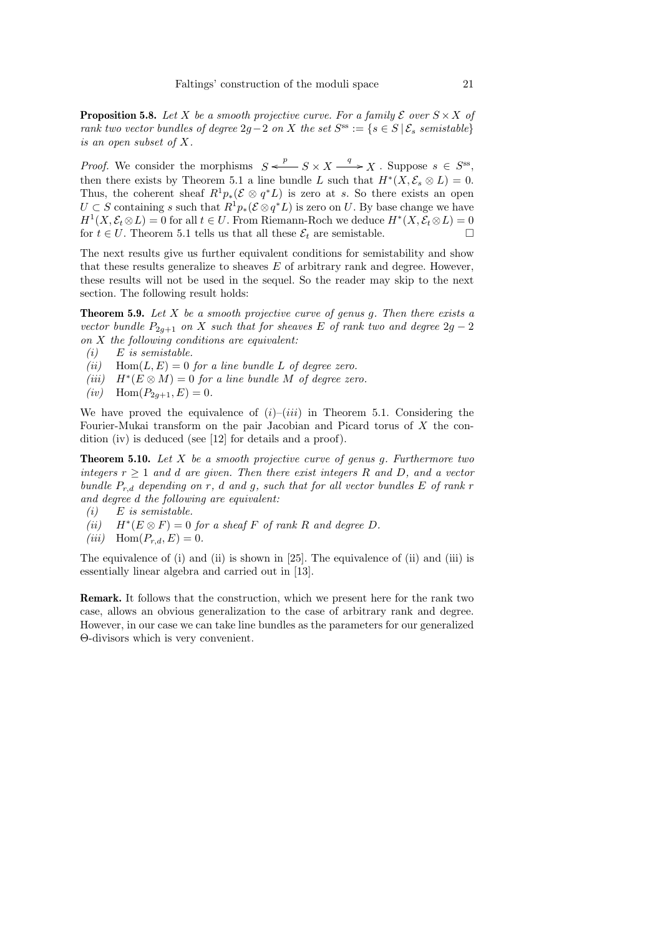**Proposition 5.8.** Let X be a smooth projective curve. For a family  $\mathcal{E}$  over  $S \times X$  of rank two vector bundles of degree  $2g-2$  on X the set  $S^{ss} := \{s \in S \mid \mathcal{E}_s$  semistable} is an open subset of X.

*Proof.* We consider the morphisms  $S \xleftarrow{p} S \times X \xrightarrow{q} X$ . Suppose  $s \in S^{ss}$ , then there exists by Theorem 5.1 a line bundle L such that  $H^*(X, \mathcal{E}_s \otimes L) = 0$ . Thus, the coherent sheaf  $R^1p_*(\mathcal{E} \otimes q^*L)$  is zero at s. So there exists an open  $U \subset S$  containing s such that  $R^1p_*(\mathcal{E} \otimes q^*L)$  is zero on U. By base change we have  $H^1(X, \mathcal{E}_t \otimes L) = 0$  for all  $t \in U$ . From Riemann-Roch we deduce  $H^*(X, \mathcal{E}_t \otimes L) = 0$ for  $t \in U$ . Theorem 5.1 tells us that all these  $\mathcal{E}_t$  are semistable.

The next results give us further equivalent conditions for semistability and show that these results generalize to sheaves E of arbitrary rank and degree. However, these results will not be used in the sequel. So the reader may skip to the next section. The following result holds:

**Theorem 5.9.** Let  $X$  be a smooth projective curve of genus g. Then there exists a vector bundle  $P_{2q+1}$  on X such that for sheaves E of rank two and degree  $2g-2$ on X the following conditions are equivalent:

- $(i)$  E is semistable.
- (ii) Hom $(L, E) = 0$  for a line bundle L of degree zero.
- (iii)  $H^*(E \otimes M) = 0$  for a line bundle M of degree zero.
- $(iv)$  Hom $(P_{2q+1}, E) = 0.$

We have proved the equivalence of  $(i)$ – $(iii)$  in Theorem 5.1. Considering the Fourier-Mukai transform on the pair Jacobian and Picard torus of X the condition (iv) is deduced (see [12] for details and a proof).

**Theorem 5.10.** Let  $X$  be a smooth projective curve of genus g. Furthermore two integers  $r \geq 1$  and d are given. Then there exist integers R and D, and a vector bundle  $P_{r,d}$  depending on r, d and g, such that for all vector bundles E of rank r and degree d the following are equivalent:

- $(i)$  E is semistable.
- $(ii)$  $H^*(E \otimes F) = 0$  for a sheaf F of rank R and degree D.
- (iii)  $\text{Hom}(P_{r,d}, E) = 0.$

The equivalence of (i) and (ii) is shown in [25]. The equivalence of (ii) and (iii) is essentially linear algebra and carried out in [13].

Remark. It follows that the construction, which we present here for the rank two case, allows an obvious generalization to the case of arbitrary rank and degree. However, in our case we can take line bundles as the parameters for our generalized Θ-divisors which is very convenient.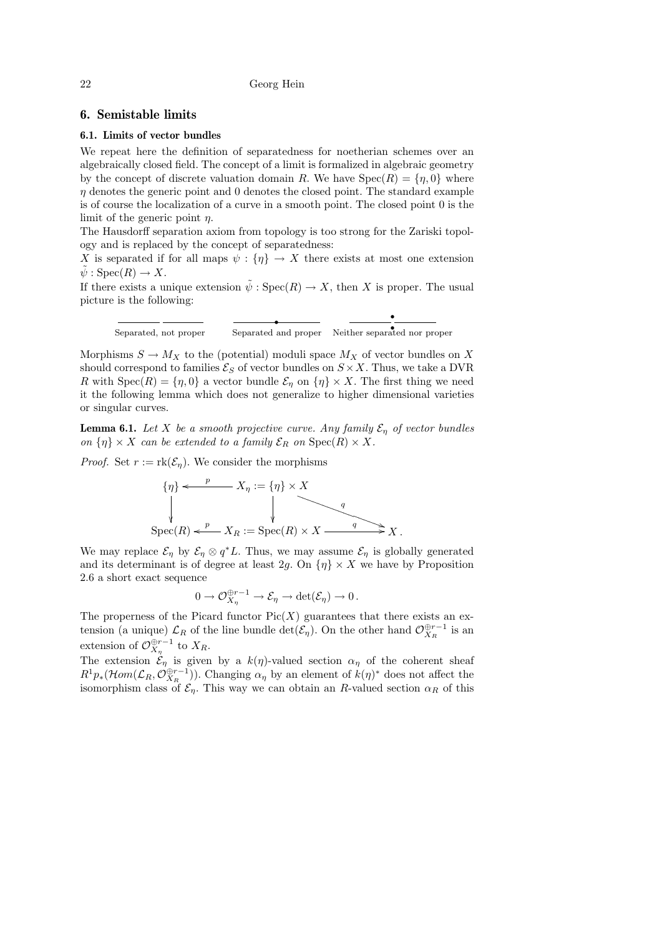# 6. Semistable limits

#### 6.1. Limits of vector bundles

We repeat here the definition of separatedness for noetherian schemes over an algebraically closed field. The concept of a limit is formalized in algebraic geometry by the concept of discrete valuation domain R. We have  $Spec(R) = \{\eta, 0\}$  where  $\eta$  denotes the generic point and 0 denotes the closed point. The standard example is of course the localization of a curve in a smooth point. The closed point 0 is the limit of the generic point  $\eta$ .

The Hausdorff separation axiom from topology is too strong for the Zariski topology and is replaced by the concept of separatedness:

X is separated if for all maps  $\psi : \{\eta\} \to X$  there exists at most one extension  $\tilde{\psi}: {\rm Spec}(R) \to X.$ 

If there exists a unique extension  $\tilde{\psi}$  :  $Spec(R) \to X$ , then X is proper. The usual picture is the following:

r r Separated, not proper Separated and proper Neither separated nor proper

r

Morphisms  $S \to M_X$  to the (potential) moduli space  $M_X$  of vector bundles on X should correspond to families  $\mathcal{E}_S$  of vector bundles on  $S \times X$ . Thus, we take a DVR R with  $Spec(R) = \{\eta, 0\}$  a vector bundle  $\mathcal{E}_{\eta}$  on  $\{\eta\} \times X$ . The first thing we need it the following lemma which does not generalize to higher dimensional varieties or singular curves.

**Lemma 6.1.** Let X be a smooth projective curve. Any family  $\mathcal{E}_{\eta}$  of vector bundles on  $\{\eta\} \times X$  can be extended to a family  $\mathcal{E}_R$  on  $\text{Spec}(R) \times X$ .

*Proof.* Set  $r := \text{rk}(\mathcal{E}_n)$ . We consider the morphisms

$$
\{\eta\} \leftarrow \begin{array}{c} p \\ X_{\eta} := \{\eta\} \times X \\ \downarrow \\ \text{Spec}(R) \leftarrow \begin{array}{c} p \\ \downarrow \\ X_R := \text{Spec}(R) \times X \end{array} \end{array}
$$

We may replace  $\mathcal{E}_{\eta}$  by  $\mathcal{E}_{\eta} \otimes q^*L$ . Thus, we may assume  $\mathcal{E}_{\eta}$  is globally generated and its determinant is of degree at least  $2g$ . On  $\{\eta\}\times X$  we have by Proposition 2.6 a short exact sequence

$$
0 \to \mathcal{O}_{X_{\eta}}^{\oplus r-1} \to \mathcal{E}_{\eta} \to \det(\mathcal{E}_{\eta}) \to 0.
$$

The properness of the Picard functor  $Pic(X)$  guarantees that there exists an extension (a unique)  $\mathcal{L}_R$  of the line bundle  $\det(\mathcal{E}_\eta)$ . On the other hand  $\mathcal{O}_{X_R}^{\oplus r-1}$  is an extension of  $\mathcal{O}_{X_{\eta}}^{\oplus r-1}$  to  $X_R$ .

The extension  $\mathcal{E}_{\eta}$  is given by a  $k(\eta)$ -valued section  $\alpha_{\eta}$  of the coherent sheaf  $R^1p_*(\mathcal{H}om(\mathcal{L}_R, \mathcal{O}_{X_R}^{\oplus r-1}))$ . Changing  $\alpha_\eta$  by an element of  $k(\eta)^*$  does not affect the isomorphism class of  $\mathcal{E}_{\eta}$ . This way we can obtain an R-valued section  $\alpha_R$  of this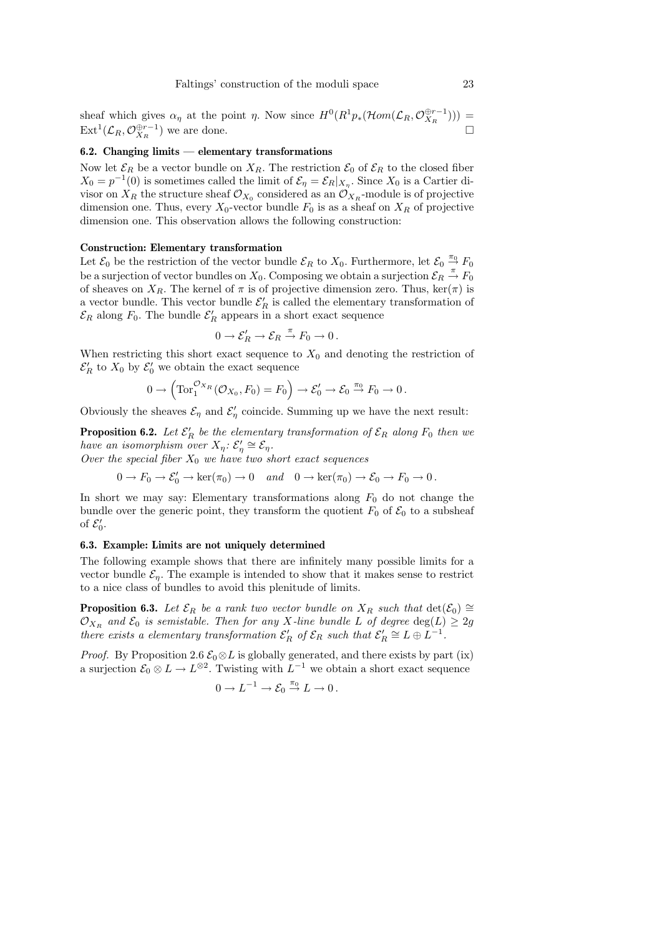sheaf which gives  $\alpha_{\eta}$  at the point  $\eta$ . Now since  $H^0(R^1p_*(\mathcal{H}om(\mathcal{L}_R,\mathcal{O}_{X_R}^{\oplus r-1})))$  =  $\text{Ext}^1(\mathcal{L}_R, \mathcal{O}_{X_R}^{\oplus r-1})$  we are done.

# 6.2. Changing limits — elementary transformations

Now let  $\mathcal{E}_R$  be a vector bundle on  $X_R$ . The restriction  $\mathcal{E}_0$  of  $\mathcal{E}_R$  to the closed fiber  $X_0 = p^{-1}(0)$  is sometimes called the limit of  $\mathcal{E}_{\eta} = \mathcal{E}_R|_{X_{\eta}}$ . Since  $X_0$  is a Cartier divisor on  $X_R$  the structure sheaf  $\mathcal{O}_{X_0}$  considered as an  $\mathcal{O}_{X_R}$ -module is of projective dimension one. Thus, every  $X_0$ -vector bundle  $F_0$  is as a sheaf on  $X_R$  of projective dimension one. This observation allows the following construction:

# Construction: Elementary transformation

Let  $\mathcal{E}_0$  be the restriction of the vector bundle  $\mathcal{E}_R$  to  $X_0$ . Furthermore, let  $\mathcal{E}_0 \stackrel{\pi_0}{\to} F_0$ be a surjection of vector bundles on  $X_0$ . Composing we obtain a surjection  $\mathcal{E}_R \stackrel{\pi}{\to} F_0$ of sheaves on  $X_R$ . The kernel of  $\pi$  is of projective dimension zero. Thus, ker( $\pi$ ) is a vector bundle. This vector bundle  $\mathcal{E}'_R$  is called the elementary transformation of  $\mathcal{E}_R$  along  $F_0$ . The bundle  $\mathcal{E}'_R$  appears in a short exact sequence

$$
0 \to \mathcal{E}'_R \to \mathcal{E}_R \stackrel{\pi}{\to} F_0 \to 0.
$$

When restricting this short exact sequence to  $X_0$  and denoting the restriction of  $\mathcal{E}'_R$  to  $X_0$  by  $\mathcal{E}'_0$  we obtain the exact sequence

$$
0 \to \left( \operatorname{Tor}_1^{\mathcal{O}_{X_R}}(\mathcal{O}_{X_0}, F_0) = F_0 \right) \to \mathcal{E}'_0 \to \mathcal{E}_0 \stackrel{\pi_0}{\to} F_0 \to 0 \, .
$$

Obviously the sheaves  $\mathcal{E}_{\eta}$  and  $\mathcal{E}'_{\eta}$  coincide. Summing up we have the next result:

**Proposition 6.2.** Let  $\mathcal{E}'_R$  be the elementary transformation of  $\mathcal{E}_R$  along  $F_0$  then we have an isomorphism over  $X_{\eta} : \mathcal{E}'_{\eta} \cong \mathcal{E}_{\eta}$ .

Over the special fiber  $X_0$  we have two short exact sequences

 $0 \to F_0 \to \mathcal{E}'_0 \to \ker(\pi_0) \to 0 \quad and \quad 0 \to \ker(\pi_0) \to \mathcal{E}_0 \to F_0 \to 0$ .

In short we may say: Elementary transformations along  $F_0$  do not change the bundle over the generic point, they transform the quotient  $F_0$  of  $\mathcal{E}_0$  to a subsheaf of  $\mathcal{E}'_0$ .

# 6.3. Example: Limits are not uniquely determined

The following example shows that there are infinitely many possible limits for a vector bundle  $\mathcal{E}_{\eta}$ . The example is intended to show that it makes sense to restrict to a nice class of bundles to avoid this plenitude of limits.

**Proposition 6.3.** Let  $\mathcal{E}_R$  be a rank two vector bundle on  $X_R$  such that  $\det(\mathcal{E}_0) \cong$  $\mathcal{O}_{X_R}$  and  $\mathcal{E}_0$  is semistable. Then for any X-line bundle L of degree  $\deg(L) \geq 2g$ there exists a elementary transformation  $\mathcal{E}'_R$  of  $\mathcal{E}_R$  such that  $\mathcal{E}'_R \cong L \oplus L^{-1}$ .

*Proof.* By Proposition 2.6  $\mathcal{E}_0 \otimes L$  is globally generated, and there exists by part (ix) a surjection  $\mathcal{E}_0 \otimes L \to L^{\otimes 2}$ . Twisting with  $L^{-1}$  we obtain a short exact sequence

$$
0 \to L^{-1} \to \mathcal{E}_0 \stackrel{\pi_0}{\to} L \to 0 \, .
$$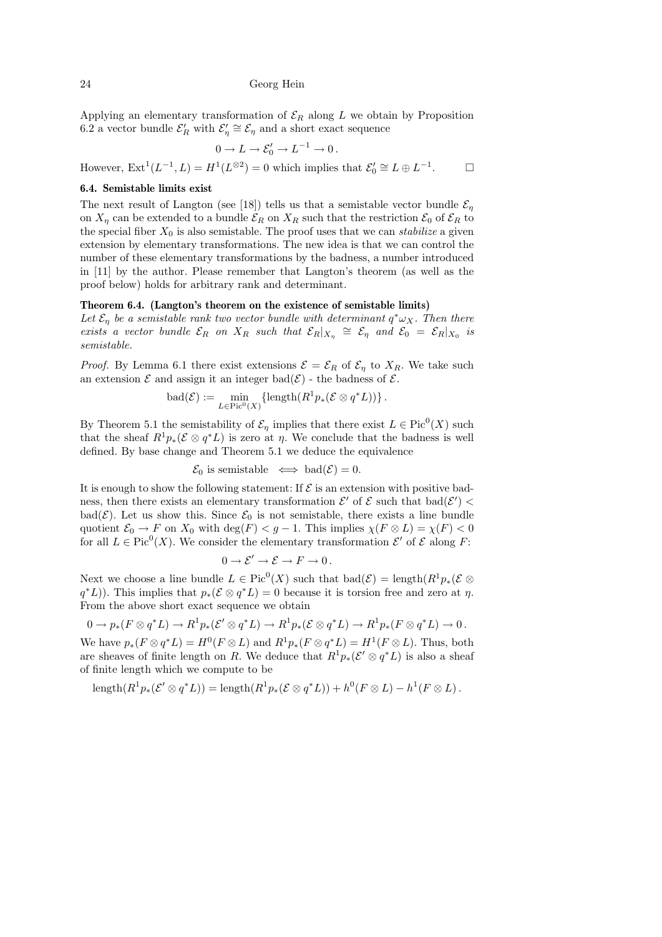Applying an elementary transformation of  $\mathcal{E}_R$  along L we obtain by Proposition 6.2 a vector bundle  $\mathcal{E}'_R$  with  $\mathcal{E}'_R \cong \mathcal{E}_\eta$  and a short exact sequence

$$
0 \to L \to \mathcal{E}'_0 \to L^{-1} \to 0.
$$

However,  $\mathrm{Ext}^1(L^{-1}, L) = H^1(L^{\otimes 2}) = 0$  which implies that  $\mathcal{E}'_0 \cong L \oplus L^{-1}$  $\Box$ 

### 6.4. Semistable limits exist

The next result of Langton (see [18]) tells us that a semistable vector bundle  $\mathcal{E}_\eta$ on  $X_{\eta}$  can be extended to a bundle  $\mathcal{E}_R$  on  $X_R$  such that the restriction  $\mathcal{E}_0$  of  $\mathcal{E}_R$  to the special fiber  $X_0$  is also semistable. The proof uses that we can stabilize a given extension by elementary transformations. The new idea is that we can control the number of these elementary transformations by the badness, a number introduced in [11] by the author. Please remember that Langton's theorem (as well as the proof below) holds for arbitrary rank and determinant.

#### Theorem 6.4. (Langton's theorem on the existence of semistable limits)

Let  $\mathcal{E}_\eta$  be a semistable rank two vector bundle with determinant  $q^* \omega_X$ . Then there exists a vector bundle  $\mathcal{E}_R$  on  $X_R$  such that  $\mathcal{E}_R|_{X_\eta} \cong \mathcal{E}_\eta$  and  $\mathcal{E}_0 = \mathcal{E}_R|_{X_0}$  is semistable.

*Proof.* By Lemma 6.1 there exist extensions  $\mathcal{E} = \mathcal{E}_R$  of  $\mathcal{E}_n$  to  $X_R$ . We take such an extension  $\mathcal E$  and assign it an integer bad $(\mathcal E)$  - the badness of  $\mathcal E$ .

$$
\text{bad}(\mathcal{E}) := \min_{L \in \text{Pic}^0(X)} \{ \text{length}(R^1 p_*(\mathcal{E} \otimes q^* L)) \}.
$$

By Theorem 5.1 the semistability of  $\mathcal{E}_{\eta}$  implies that there exist  $L \in Pic^{0}(X)$  such that the sheaf  $R^1p_*(\mathcal{E} \otimes q^*L)$  is zero at  $\eta$ . We conclude that the badness is well defined. By base change and Theorem 5.1 we deduce the equivalence

$$
\mathcal{E}_0
$$
 is semistable  $\iff$  bad( $\mathcal{E}$ ) = 0.

It is enough to show the following statement: If  $\mathcal E$  is an extension with positive badness, then there exists an elementary transformation  $\mathcal{E}'$  of  $\mathcal{E}$  such that  $bad(\mathcal{E}')$ bad( $\mathcal{E}$ ). Let us show this. Since  $\mathcal{E}_0$  is not semistable, there exists a line bundle quotient  $\mathcal{E}_0 \to F$  on  $X_0$  with  $\deg(F) < g - 1$ . This implies  $\chi(F \otimes L) = \chi(F) < 0$ for all  $L \in Pic^0(X)$ . We consider the elementary transformation  $\mathcal{E}'$  of  $\mathcal E$  along F:

$$
0 \to \mathcal{E}' \to \mathcal{E} \to F \to 0.
$$

Next we choose a line bundle  $L \in Pic^0(X)$  such that  $bad(\mathcal{E}) = \text{length}(R^1p_*(\mathcal{E} \otimes$  $q^*L$ ). This implies that  $p_*(\mathcal{E} \otimes q^*L) = 0$  because it is torsion free and zero at  $\eta$ . From the above short exact sequence we obtain

$$
0 \to p_*(F \otimes q^*L) \to R^1p_*(\mathcal{E}' \otimes q^*L) \to R^1p_*(\mathcal{E} \otimes q^*L) \to R^1p_*(F \otimes q^*L) \to 0.
$$

We have  $p_*(F \otimes q^*L) = H^0(F \otimes L)$  and  $R^1p_*(F \otimes q^*L) = H^1(F \otimes L)$ . Thus, both are sheaves of finite length on R. We deduce that  $R^1p_*(\mathcal{E}' \otimes q^*L)$  is also a sheaf of finite length which we compute to be

length
$$
(R^1p_*(\mathcal{E}' \otimes q^*L)) =
$$
length $(R^1p_*(\mathcal{E} \otimes q^*L)) + h^0(F \otimes L) - h^1(F \otimes L)$ .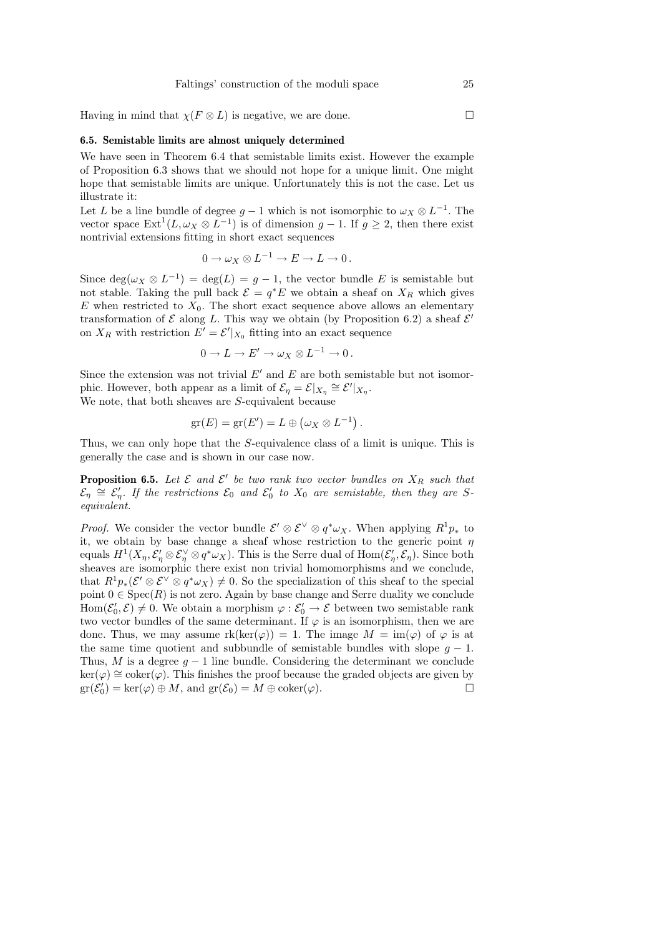Having in mind that  $\chi(F \otimes L)$  is negative, we are done.

# 6.5. Semistable limits are almost uniquely determined

We have seen in Theorem 6.4 that semistable limits exist. However the example of Proposition 6.3 shows that we should not hope for a unique limit. One might hope that semistable limits are unique. Unfortunately this is not the case. Let us illustrate it:

Let L be a line bundle of degree  $g-1$  which is not isomorphic to  $\omega_X \otimes L^{-1}$ . The vector space  $\text{Ext}^1(L, \omega_X \otimes L^{-1})$  is of dimension  $g-1$ . If  $g \geq 2$ , then there exist nontrivial extensions fitting in short exact sequences

$$
0 \to \omega_X \otimes L^{-1} \to E \to L \to 0.
$$

Since  $\deg(\omega_X \otimes L^{-1}) = \deg(L) = g - 1$ , the vector bundle E is semistable but not stable. Taking the pull back  $\mathcal{E} = q^*E$  we obtain a sheaf on  $X_R$  which gives  $E$  when restricted to  $X_0$ . The short exact sequence above allows an elementary transformation of  $\mathcal E$  along L. This way we obtain (by Proposition 6.2) a sheaf  $\mathcal E'$ on  $X_R$  with restriction  $E' = \mathcal{E}'|_{X_0}$  fitting into an exact sequence

$$
0 \to L \to E' \to \omega_X \otimes L^{-1} \to 0.
$$

Since the extension was not trivial  $E'$  and  $E$  are both semistable but not isomorphic. However, both appear as a limit of  $\mathcal{E}_{\eta} = \mathcal{E}|_{X_{\eta}} \cong \mathcal{E}'|_{X_{\eta}}$ .

We note, that both sheaves are S-equivalent because

$$
\mathrm{gr}(E)=\mathrm{gr}(E')=L\oplus(\omega_X\otimes L^{-1}).
$$

Thus, we can only hope that the S-equivalence class of a limit is unique. This is generally the case and is shown in our case now.

**Proposition 6.5.** Let  $\mathcal{E}$  and  $\mathcal{E}'$  be two rank two vector bundles on  $X_R$  such that  $\mathcal{E}_{\eta} \cong \mathcal{E}'_{\eta}$ . If the restrictions  $\mathcal{E}_{0}$  and  $\mathcal{E}'_{0}$  to  $X_{0}$  are semistable, then they are Sequivalent.

*Proof.* We consider the vector bundle  $\mathcal{E}' \otimes \mathcal{E}^{\vee} \otimes q^* \omega_X$ . When applying  $R^1 p_*$  to it, we obtain by base change a sheaf whose restriction to the generic point  $\eta$ equals  $H^1(X_\eta, \mathcal{E}'_\eta \otimes \mathcal{E}^\vee_\eta \otimes q^* \omega_X)$ . This is the Serre dual of  $\text{Hom}(\mathcal{E}'_\eta, \mathcal{E}_\eta)$ . Since both sheaves are isomorphic there exist non trivial homomorphisms and we conclude, that  $R^1p_*(\mathcal{E}' \otimes \mathcal{E}^{\vee} \otimes q^*\omega_X) \neq 0$ . So the specialization of this sheaf to the special point  $0 \in \text{Spec}(R)$  is not zero. Again by base change and Serre duality we conclude  $Hom(\mathcal{E}'_0, \mathcal{E}) \neq 0$ . We obtain a morphism  $\varphi : \mathcal{E}'_0 \to \mathcal{E}$  between two semistable rank two vector bundles of the same determinant. If  $\varphi$  is an isomorphism, then we are done. Thus, we may assume  $rk(ker(\varphi)) = 1$ . The image  $M = im(\varphi)$  of  $\varphi$  is at the same time quotient and subbundle of semistable bundles with slope  $g - 1$ . Thus, M is a degree  $g - 1$  line bundle. Considering the determinant we conclude  $\ker(\varphi) \cong \operatorname{coker}(\varphi)$ . This finishes the proof because the graded objects are given by  $\mathrm{gr}(\mathcal{E}_0') = \ker(\varphi) \oplus M$ , and  $\mathrm{gr}(\mathcal{E}_0) = M \oplus \mathrm{coker}(\varphi)$ .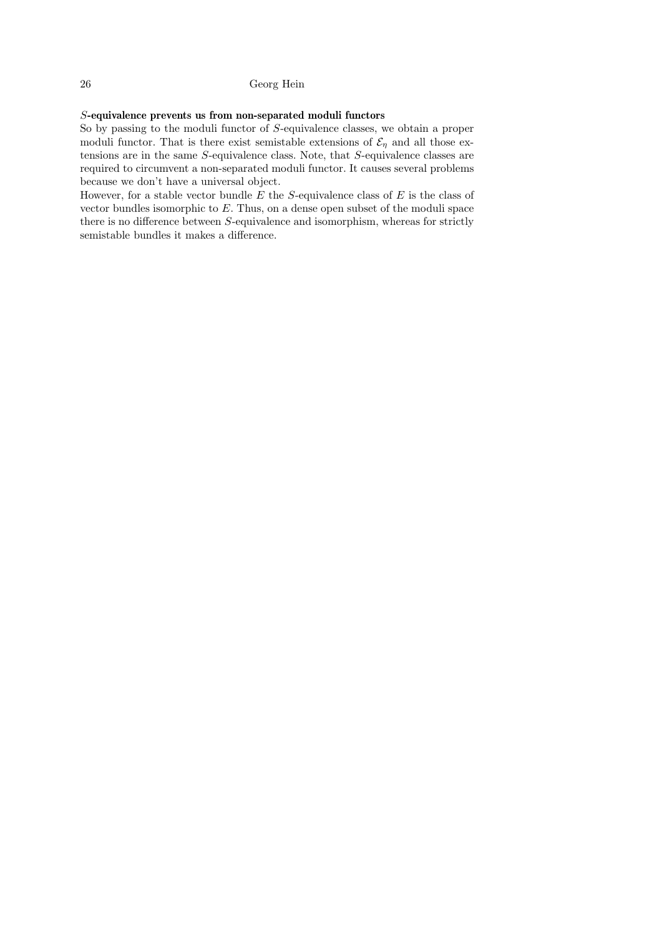# S-equivalence prevents us from non-separated moduli functors

So by passing to the moduli functor of S-equivalence classes, we obtain a proper moduli functor. That is there exist semistable extensions of  $\mathcal{E}_n$  and all those extensions are in the same S-equivalence class. Note, that S-equivalence classes are required to circumvent a non-separated moduli functor. It causes several problems because we don't have a universal object.

However, for a stable vector bundle  $E$  the  $S$ -equivalence class of  $E$  is the class of vector bundles isomorphic to E. Thus, on a dense open subset of the moduli space there is no difference between  $S$ -equivalence and isomorphism, whereas for strictly semistable bundles it makes a difference.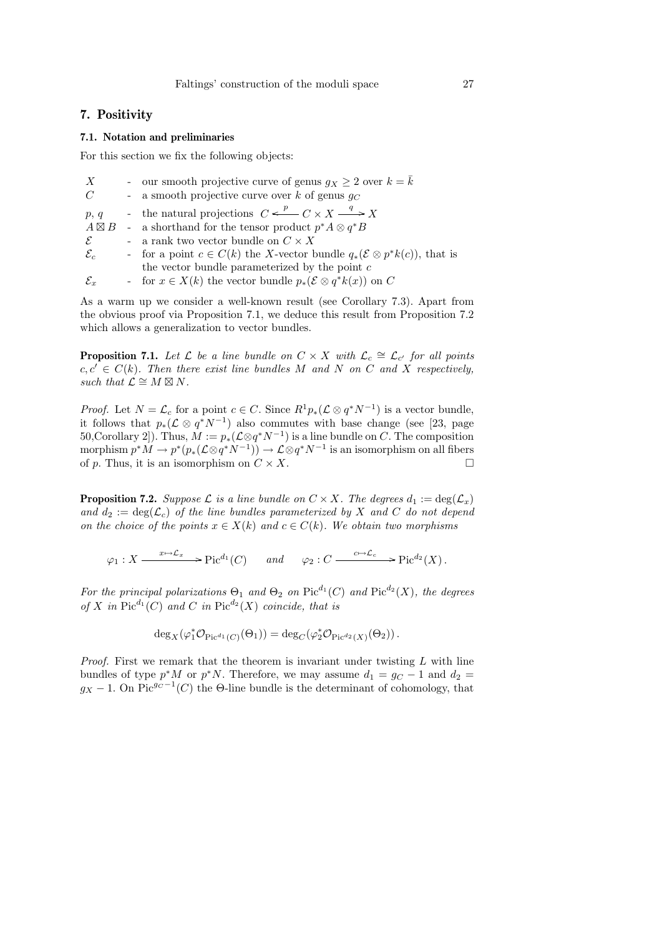# 7. Positivity

## 7.1. Notation and preliminaries

For this section we fix the following objects:

| X                    | - our smooth projective curve of genus $g_X \geq 2$ over $k = k$                            |
|----------------------|---------------------------------------------------------------------------------------------|
| C                    | - a smooth projective curve over k of genus $g_C$                                           |
| p, q                 | - the natural projections $C \xleftarrow{p} C \times X \xrightarrow{q} X$                   |
| $A \boxtimes B$      | - a shorthand for the tensor product $p^*A \otimes q^*B$                                    |
| $\mathcal{E}$        | - a rank two vector bundle on $C \times X$                                                  |
| $\mathcal{E}_c$      | - for a point $c \in C(k)$ the X-vector bundle $q_*(\mathcal{E} \otimes p^*k(c))$ , that is |
|                      | the vector bundle parameterized by the point $c$                                            |
| $\mathcal{E}_{\tau}$ | - for $x \in X(k)$ the vector bundle $p_*(\mathcal{E} \otimes q^*k(x))$ on C                |

As a warm up we consider a well-known result (see Corollary 7.3). Apart from the obvious proof via Proposition 7.1, we deduce this result from Proposition 7.2 which allows a generalization to vector bundles.

**Proposition 7.1.** Let  $\mathcal{L}$  be a line bundle on  $C \times X$  with  $\mathcal{L}_c \cong \mathcal{L}_{c'}$  for all points  $c, c' \in C(k)$ . Then there exist line bundles M and N on C and X respectively, such that  $\mathcal{L} \cong M \boxtimes N$ .

*Proof.* Let  $N = \mathcal{L}_c$  for a point  $c \in C$ . Since  $R^1 p_*(\mathcal{L} \otimes q^* N^{-1})$  is a vector bundle, it follows that  $p_*(\mathcal{L} \otimes q^*N^{-1})$  also commutes with base change (see [23, page 50, Corollary 2]). Thus,  $M := p_*(\mathcal{L} \otimes q^*N^{-1})$  is a line bundle on C. The composition morphism  $p^*M \to p^*(p_*(\mathcal{L}\otimes q^*N^{-1})) \to \mathcal{L}\otimes q^*N^{-1}$  is an isomorphism on all fibers of p. Thus, it is an isomorphism on  $C \times X$ .

**Proposition 7.2.** Suppose L is a line bundle on  $C \times X$ . The degrees  $d_1 := \deg(\mathcal{L}_x)$ and  $d_2 := \deg(\mathcal{L}_c)$  of the line bundles parameterized by X and C do not depend on the choice of the points  $x \in X(k)$  and  $c \in C(k)$ . We obtain two morphisms

$$
\varphi_1: X \longrightarrow^{x \mapsto \mathcal{L}_x} \mathcal{P}ic^{d_1}(C) \quad \text{and} \quad \varphi_2: C \longrightarrow^{c \mapsto \mathcal{L}_c} \mathcal{P}ic^{d_2}(X).
$$

For the principal polarizations  $\Theta_1$  and  $\Theta_2$  on  $Pic^{d_1}(C)$  and  $Pic^{d_2}(X)$ , the degrees of X in  $Pic^{d_1}(C)$  and C in  $Pic^{d_2}(X)$  coincide, that is

$$
\deg_X(\varphi_1^*\mathcal{O}_{\mathrm{Pic}^{d_1}(C)}(\Theta_1)) = \deg_C(\varphi_2^*\mathcal{O}_{\mathrm{Pic}^{d_2}(X)}(\Theta_2)).
$$

*Proof.* First we remark that the theorem is invariant under twisting  $L$  with line bundles of type  $p^*M$  or  $p^*N$ . Therefore, we may assume  $d_1 = g_C - 1$  and  $d_2 =$  $g_X - 1$ . On Pic<sup>g<sub>C</sub>-1</sup>(C) the  $\Theta$ -line bundle is the determinant of cohomology, that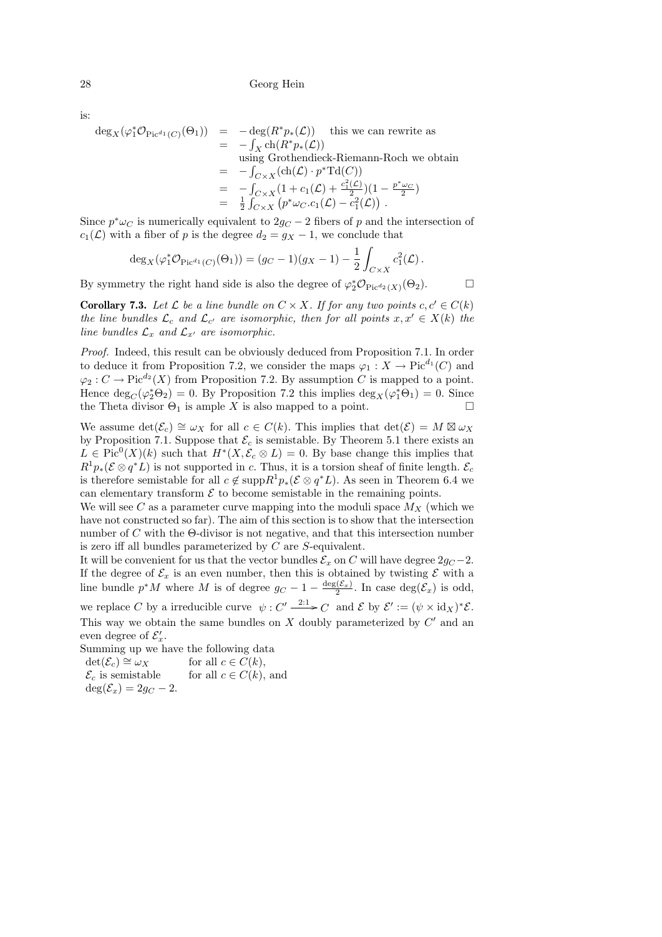is:

$$
\begin{array}{rcl}\n\deg_X(\varphi_1^*\mathcal{O}_{\mathrm{Pic}^{d_1}(C)}(\Theta_1)) & = & -\deg(R^*p_*(\mathcal{L})) \quad \text{this we can rewrite as} \\
& = & -\int_X \mathrm{ch}(R^*p_*(\mathcal{L})) \\
&\text{using Grothendieck-Riemann-Roch we obtain} \\
& = & -\int_{C\times X}(\mathrm{ch}(\mathcal{L})\cdot p^*\mathrm{Td}(C)) \\
& = & -\int_{C\times X}(1+c_1(\mathcal{L})+\frac{c_1^2(\mathcal{L})}{2})(1-\frac{p^*\omega_C}{2}) \\
& = & \frac{1}{2}\int_{C\times X}\left(p^*\omega_C.c_1(\mathcal{L})-c_1^2(\mathcal{L})\right).\n\end{array}
$$

Since  $p^*\omega_C$  is numerically equivalent to  $2g_C - 2$  fibers of p and the intersection of  $c_1(\mathcal{L})$  with a fiber of p is the degree  $d_2 = g_X - 1$ , we conclude that

$$
\deg_X(\varphi_1^* \mathcal{O}_{\mathrm{Pic}^{d_1}(C)}(\Theta_1)) = (g_C - 1)(g_X - 1) - \frac{1}{2} \int_{C \times X} c_1^2(\mathcal{L}).
$$

By symmetry the right hand side is also the degree of  $\varphi_2^* \mathcal{O}_{\text{Pic}^{d_2}(X)}(\Theta_2)$ .

**Corollary 7.3.** Let  $\mathcal{L}$  be a line bundle on  $C \times X$ . If for any two points  $c, c' \in C(k)$ the line bundles  $\mathcal{L}_c$  and  $\mathcal{L}_{c'}$  are isomorphic, then for all points  $x, x' \in X(k)$  the line bundles  $\mathcal{L}_x$  and  $\mathcal{L}_{x'}$  are isomorphic.

Proof. Indeed, this result can be obviously deduced from Proposition 7.1. In order to deduce it from Proposition 7.2, we consider the maps  $\varphi_1 : X \to \text{Pic}^{d_1}(C)$  and  $\varphi_2: C \to \mathrm{Pic}^{d_2}(X)$  from Proposition 7.2. By assumption C is mapped to a point. Hence  $\deg_C(\varphi_2^*\Theta_2) = 0$ . By Proposition 7.2 this implies  $\deg_X(\varphi_1^*\Theta_1) = 0$ . Since the Theta divisor  $\Theta_1$  is ample X is also mapped to a point.

We assume  $\det(\mathcal{E}_c) \cong \omega_X$  for all  $c \in C(k)$ . This implies that  $\det(\mathcal{E}) = M \boxtimes \omega_X$ by Proposition 7.1. Suppose that  $\mathcal{E}_c$  is semistable. By Theorem 5.1 there exists an  $L \in Pic^{0}(X)(k)$  such that  $H^{*}(X, \mathcal{E}_{c} \otimes L) = 0$ . By base change this implies that  $R^1p_*(\mathcal{E} \otimes q^*L)$  is not supported in c. Thus, it is a torsion sheaf of finite length.  $\mathcal{E}_c$ is therefore semistable for all  $c \notin \text{supp} R^1 p_*(\mathcal{E} \otimes q^*L)$ . As seen in Theorem 6.4 we can elementary transform  $\mathcal E$  to become semistable in the remaining points.

We will see C as a parameter curve mapping into the moduli space  $M_X$  (which we have not constructed so far). The aim of this section is to show that the intersection number of C with the Θ-divisor is not negative, and that this intersection number is zero iff all bundles parameterized by C are S-equivalent.

It will be convenient for us that the vector bundles  $\mathcal{E}_x$  on C will have degree  $2g_C - 2$ . If the degree of  $\mathcal{E}_x$  is an even number, then this is obtained by twisting  $\mathcal E$  with a line bundle  $p^*M$  where M is of degree  $g_C - 1 - \frac{\deg(\mathcal{E}_x)}{2}$ . In case  $\deg(\mathcal{E}_x)$  is odd, we replace C by a irreducible curve  $\psi: C' \xrightarrow{2:1} C$  and E by  $\mathcal{E}' := (\psi \times id_X)^* \mathcal{E}.$ This way we obtain the same bundles on  $X$  doubly parameterized by  $C'$  and an even degree of  $\mathcal{E}'_x$ .

Summing up we have the following data

 $det(\mathcal{E}_c) \cong \omega_X$  for all  $c \in C(k)$ ,<br>  $\mathcal{E}_c$  is semistable for all  $c \in C(k)$ , for all  $c \in C(k)$ , and  $\deg(\mathcal{E}_x) = 2q_C - 2.$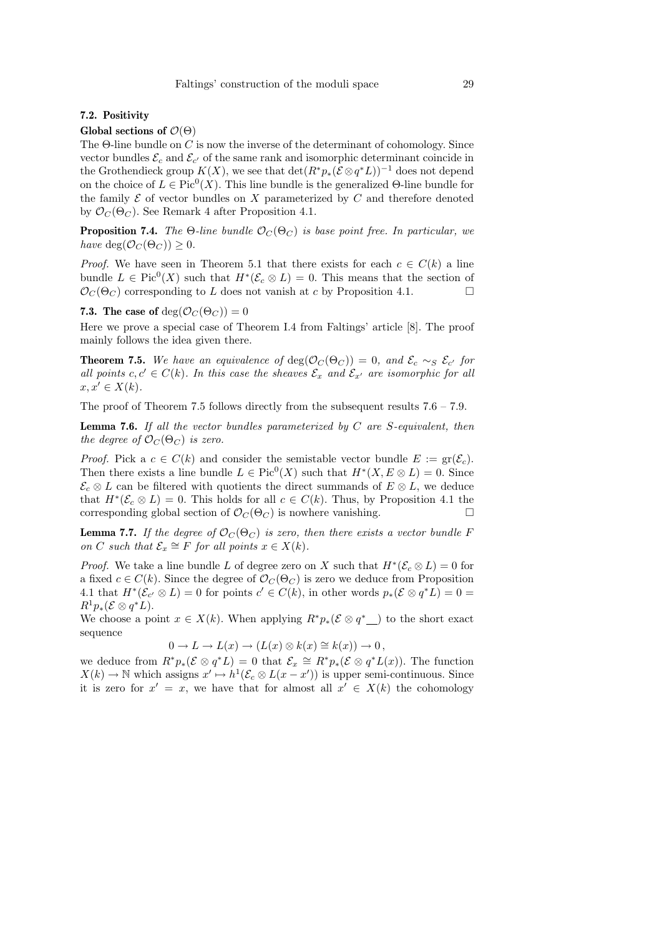# 7.2. Positivity

Global sections of  $\mathcal{O}(\Theta)$ 

The  $\Theta$ -line bundle on C is now the inverse of the determinant of cohomology. Since vector bundles  $\mathcal{E}_c$  and  $\mathcal{E}_{c'}$  of the same rank and isomorphic determinant coincide in the Grothendieck group  $K(X)$ , we see that  $\det(R^*p_*(\mathcal{E} \otimes q^*L))^{-1}$  does not depend on the choice of  $L \in Pic^0(X)$ . This line bundle is the generalized  $\Theta$ -line bundle for the family  $\mathcal E$  of vector bundles on  $X$  parameterized by  $C$  and therefore denoted by  $\mathcal{O}_C(\Theta_C)$ . See Remark 4 after Proposition 4.1.

**Proposition 7.4.** The Θ-line bundle  $\mathcal{O}_C(\Theta_C)$  is base point free. In particular, we have deg( $\mathcal{O}_C(\Theta_C)$ ) > 0.

*Proof.* We have seen in Theorem 5.1 that there exists for each  $c \in C(k)$  a line bundle  $L \in Pic^0(X)$  such that  $H^*(\mathcal{E}_c \otimes L) = 0$ . This means that the section of  $\mathcal{O}_C(\Theta_C)$  corresponding to L does not vanish at c by Proposition 4.1.

### 7.3. The case of  $deg(\mathcal{O}_C(\Theta_C)) = 0$

Here we prove a special case of Theorem I.4 from Faltings' article [8]. The proof mainly follows the idea given there.

**Theorem 7.5.** We have an equivalence of  $deg(\mathcal{O}_C(\Theta_C)) = 0$ , and  $\mathcal{E}_c \sim_S \mathcal{E}_{c'}$  for all points  $c, c' \in C(k)$ . In this case the sheaves  $\mathcal{E}_x$  and  $\mathcal{E}_{x'}$  are isomorphic for all  $x, x' \in X(k)$ .

The proof of Theorem 7.5 follows directly from the subsequent results 7.6 – 7.9.

**Lemma 7.6.** If all the vector bundles parameterized by  $C$  are S-equivalent, then the degree of  $\mathcal{O}_C(\Theta_C)$  is zero.

*Proof.* Pick a  $c \in C(k)$  and consider the semistable vector bundle  $E := \text{gr}(\mathcal{E}_c)$ . Then there exists a line bundle  $L \in Pic^0(X)$  such that  $H^*(X, E \otimes L) = 0$ . Since  $\mathcal{E}_c \otimes L$  can be filtered with quotients the direct summands of  $E \otimes L$ , we deduce that  $H^*(\mathcal{E}_c \otimes L) = 0$ . This holds for all  $c \in C(k)$ . Thus, by Proposition 4.1 the corresponding global section of  $\mathcal{O}_C(\Theta_C)$  is nowhere vanishing.

**Lemma 7.7.** If the degree of  $\mathcal{O}_C(\Theta_C)$  is zero, then there exists a vector bundle F on C such that  $\mathcal{E}_x \cong F$  for all points  $x \in X(k)$ .

*Proof.* We take a line bundle L of degree zero on X such that  $H^*(\mathcal{E}_c \otimes L) = 0$  for a fixed  $c \in C(k)$ . Since the degree of  $\mathcal{O}_C(\Theta_C)$  is zero we deduce from Proposition 4.1 that  $H^*(\mathcal{E}_{c'} \otimes L) = 0$  for points  $c' \in C(k)$ , in other words  $p_*(\mathcal{E} \otimes q^*L) = 0$  $R^1p_*(\mathcal{E} \otimes q^*L).$ 

We choose a point  $x \in X(k)$ . When applying  $R^*p_*(\mathcal{E} \otimes q^*$  to the short exact sequence

$$
0 \to L \to L(x) \to (L(x) \otimes k(x) \cong k(x)) \to 0,
$$

we deduce from  $R^*p_*(\mathcal{E} \otimes q^*L) = 0$  that  $\mathcal{E}_x \cong R^*p_*(\mathcal{E} \otimes q^*L(x))$ . The function  $X(k) \to \mathbb{N}$  which assigns  $x' \mapsto h^1(\mathcal{E}_c \otimes L(x - x'))$  is upper semi-continuous. Since it is zero for  $x' = x$ , we have that for almost all  $x' \in X(k)$  the cohomology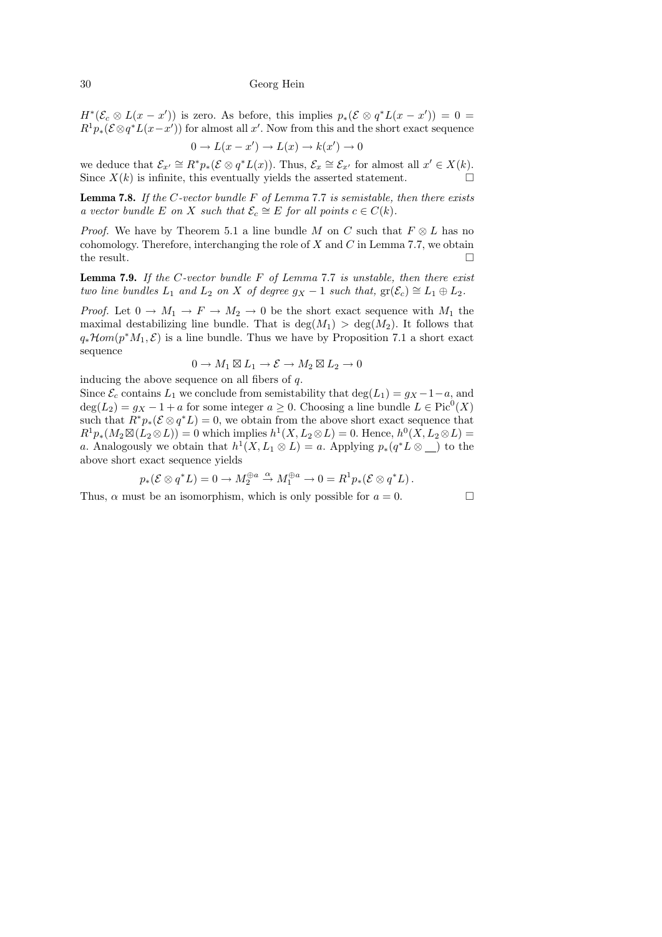$H^*(\mathcal{E}_c \otimes L(x-x'))$  is zero. As before, this implies  $p_*(\mathcal{E} \otimes q^*L(x-x'))=0$  $R^1p_*(\mathcal{E} \otimes q^*L(x-x'))$  for almost all x'. Now from this and the short exact sequence

$$
0 \to L(x - x') \to L(x) \to k(x') \to 0
$$

we deduce that  $\mathcal{E}_{x'} \cong R^*p_*(\mathcal{E} \otimes q^*L(x))$ . Thus,  $\mathcal{E}_x \cong \mathcal{E}_{x'}$  for almost all  $x' \in X(k)$ . Since  $X(k)$  is infinite, this eventually yields the asserted statement.

**Lemma 7.8.** If the C-vector bundle  $F$  of Lemma 7.7 is semistable, then there exists a vector bundle E on X such that  $\mathcal{E}_c \cong E$  for all points  $c \in C(k)$ .

*Proof.* We have by Theorem 5.1 a line bundle M on C such that  $F \otimes L$  has no cohomology. Therefore, interchanging the role of  $X$  and  $C$  in Lemma 7.7, we obtain the result.  $\hfill \square$ 

**Lemma 7.9.** If the C-vector bundle  $F$  of Lemma 7.7 is unstable, then there exist two line bundles  $L_1$  and  $L_2$  on X of degree  $g_X - 1$  such that,  $gr(\mathcal{E}_c) \cong L_1 \oplus L_2$ .

*Proof.* Let  $0 \to M_1 \to F \to M_2 \to 0$  be the short exact sequence with  $M_1$  the maximal destabilizing line bundle. That is  $\deg(M_1) > \deg(M_2)$ . It follows that  $q_*\mathcal{H}om(p^*M_1,\mathcal{E})$  is a line bundle. Thus we have by Proposition 7.1 a short exact sequence

$$
0 \to M_1 \boxtimes L_1 \to \mathcal{E} \to M_2 \boxtimes L_2 \to 0
$$

inducing the above sequence on all fibers of  $q$ .

Since  $\mathcal{E}_c$  contains  $L_1$  we conclude from semistability that deg( $L_1$ ) =  $g_X - 1 - a$ , and  $deg(L_2) = g_X - 1 + a$  for some integer  $a \ge 0$ . Choosing a line bundle  $L \in Pic^0(X)$ such that  $R^*p_*(\mathcal{E} \otimes q^*L) = 0$ , we obtain from the above short exact sequence that  $R^1p_*(M_2\boxtimes (L_2 \otimes L)) = 0$  which implies  $h^1(X, L_2 \otimes L) = 0$ . Hence,  $h^0(X, L_2 \otimes L) = 0$ a. Analogously we obtain that  $h^1(X, L_1 \otimes L) = a$ . Applying  $p_*(q^*L \otimes ...)$  to the above short exact sequence yields

$$
p_*(\mathcal{E} \otimes q^*L) = 0 \to M_2^{\oplus a} \overset{\alpha}{\to} M_1^{\oplus a} \to 0 = R^1 p_*(\mathcal{E} \otimes q^*L).
$$

Thus,  $\alpha$  must be an isomorphism, which is only possible for  $a = 0$ .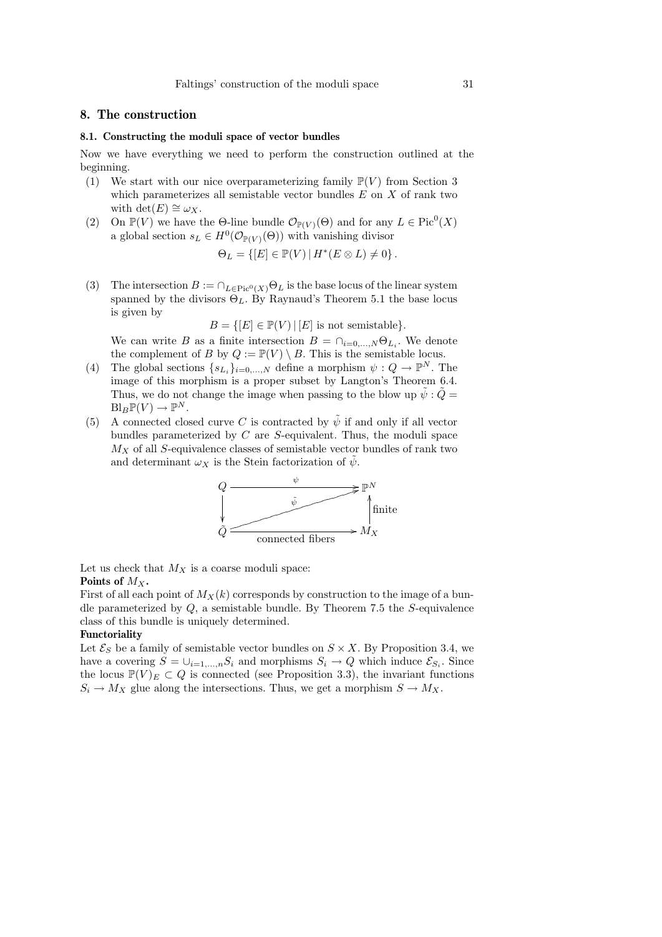# 8. The construction

#### 8.1. Constructing the moduli space of vector bundles

Now we have everything we need to perform the construction outlined at the beginning.

- (1) We start with our nice overparameterizing family  $\mathbb{P}(V)$  from Section 3 which parameterizes all semistable vector bundles  $E$  on  $X$  of rank two with det(E)  $\cong \omega_X$ .
- (2) On  $\mathbb{P}(V)$  we have the  $\Theta$ -line bundle  $\mathcal{O}_{\mathbb{P}(V)}(\Theta)$  and for any  $L \in \text{Pic}^0(X)$ a global section  $s_L \in H^0(\mathcal{O}_{\mathbb{P}(V)}(\Theta))$  with vanishing divisor

$$
\Theta_L = \{ [E] \in \mathbb{P}(V) \, | \, H^*(E \otimes L) \neq 0 \} \, .
$$

(3) The intersection  $B := \bigcap_{L \in \text{Pic}^0(X)} \Theta_L$  is the base locus of the linear system spanned by the divisors  $\Theta_L$ . By Raynaud's Theorem 5.1 the base locus is given by

$$
B = \{ [E] \in \mathbb{P}(V) \mid [E] \text{ is not semistable} \}.
$$

We can write B as a finite intersection  $B = \bigcap_{i=0,\ldots,N} \Theta_{L_i}$ . We denote the complement of B by  $Q := \mathbb{P}(V) \setminus B$ . This is the semistable locus.

- (4) The global sections  $\{s_{L_i}\}_{i=0,\dots,N}$  define a morphism  $\psi: Q \to \mathbb{P}^N$ . The image of this morphism is a proper subset by Langton's Theorem 6.4. Thus, we do not change the image when passing to the blow up  $\tilde{\psi}$  :  $\tilde{Q} =$  $\text{Bl}_B \mathbb{P}(V) \to \mathbb{P}^N$ .
- (5) A connected closed curve C is contracted by  $\tilde{\psi}$  if and only if all vector bundles parameterized by  $C$  are  $S$ -equivalent. Thus, the moduli space  $M_X$  of all S-equivalence classes of semistable vector bundles of rank two and determinant  $\omega_X$  is the Stein factorization of  $\psi$ .



Let us check that  $M_X$  is a coarse moduli space: Points of  $M_X$ .

First of all each point of  $M_X(k)$  corresponds by construction to the image of a bundle parameterized by  $Q$ , a semistable bundle. By Theorem 7.5 the  $S$ -equivalence class of this bundle is uniquely determined.

### Functoriality

Let  $\mathcal{E}_S$  be a family of semistable vector bundles on  $S \times X$ . By Proposition 3.4, we have a covering  $S = \bigcup_{i=1,\dots,n} S_i$  and morphisms  $S_i \to Q$  which induce  $\mathcal{E}_{S_i}$ . Since the locus  $\mathbb{P}(V)_E \subset Q$  is connected (see Proposition 3.3), the invariant functions  $S_i \to M_X$  glue along the intersections. Thus, we get a morphism  $S \to M_X$ .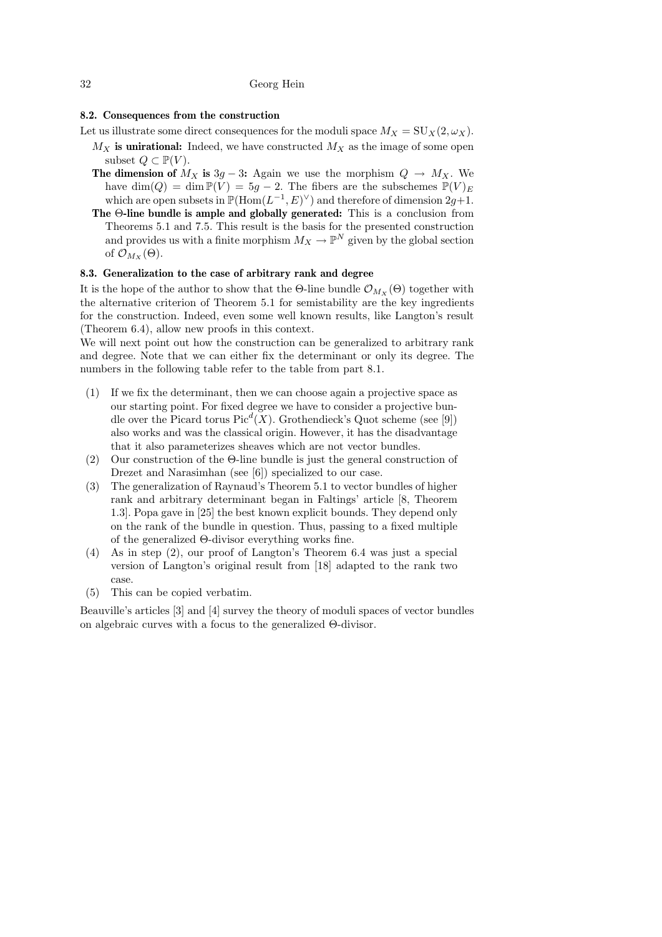# 8.2. Consequences from the construction

- Let us illustrate some direct consequences for the moduli space  $M_X = \mathrm{SU}_X(2,\omega_X)$ .  $M_X$  is unirational: Indeed, we have constructed  $M_X$  as the image of some open subset  $Q \subset \mathbb{P}(V)$ .
	- The dimension of  $M_X$  is 3g 3: Again we use the morphism  $Q \to M_X$ . We have dim(Q) = dim  $\mathbb{P}(V) = 5g - 2$ . The fibers are the subschemes  $\mathbb{P}(V)_E$ which are open subsets in  $\mathbb{P}(\text{Hom}(L^{-1}, E)^{\vee})$  and therefore of dimension  $2g+1$ .
	- The Θ-line bundle is ample and globally generated: This is a conclusion from Theorems 5.1 and 7.5. This result is the basis for the presented construction and provides us with a finite morphism  $M_X \to \mathbb{P}^N$  given by the global section of  $\mathcal{O}_{M_X}(\Theta)$ .

# 8.3. Generalization to the case of arbitrary rank and degree

It is the hope of the author to show that the Θ-line bundle  $\mathcal{O}_{M_{\mathcal{X}}}(\Theta)$  together with the alternative criterion of Theorem 5.1 for semistability are the key ingredients for the construction. Indeed, even some well known results, like Langton's result (Theorem 6.4), allow new proofs in this context.

We will next point out how the construction can be generalized to arbitrary rank and degree. Note that we can either fix the determinant or only its degree. The numbers in the following table refer to the table from part 8.1.

- (1) If we fix the determinant, then we can choose again a projective space as our starting point. For fixed degree we have to consider a projective bundle over the Picard torus  $Pic<sup>d</sup>(X)$ . Grothendieck's Quot scheme (see [9]) also works and was the classical origin. However, it has the disadvantage that it also parameterizes sheaves which are not vector bundles.
- (2) Our construction of the Θ-line bundle is just the general construction of Drezet and Narasimhan (see [6]) specialized to our case.
- (3) The generalization of Raynaud's Theorem 5.1 to vector bundles of higher rank and arbitrary determinant began in Faltings' article [8, Theorem 1.3]. Popa gave in [25] the best known explicit bounds. They depend only on the rank of the bundle in question. Thus, passing to a fixed multiple of the generalized Θ-divisor everything works fine.
- (4) As in step (2), our proof of Langton's Theorem 6.4 was just a special version of Langton's original result from [18] adapted to the rank two case.
- (5) This can be copied verbatim.

Beauville's articles [3] and [4] survey the theory of moduli spaces of vector bundles on algebraic curves with a focus to the generalized Θ-divisor.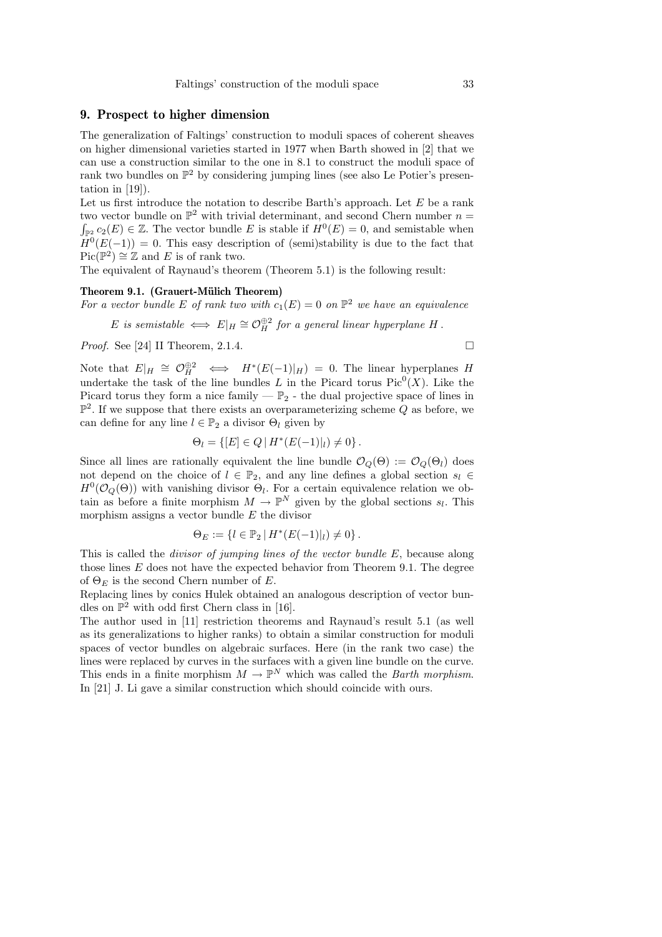# 9. Prospect to higher dimension

The generalization of Faltings' construction to moduli spaces of coherent sheaves on higher dimensional varieties started in 1977 when Barth showed in [2] that we can use a construction similar to the one in 8.1 to construct the moduli space of rank two bundles on  $\mathbb{P}^2$  by considering jumping lines (see also Le Potier's presentation in [19]).

Let us first introduce the notation to describe Barth's approach. Let  $E$  be a rank two vector bundle on  $\mathbb{P}^2$  with trivial determinant, and second Chern number  $n =$  $\int_{\mathbb{P}^2} c_2(E) \in \mathbb{Z}$ . The vector bundle E is stable if  $H^0(E) = 0$ , and semistable when  $H^0(E(-1)) = 0$ . This easy description of (semi)stability is due to the fact that  $Pic(\mathbb{P}^2) \cong \mathbb{Z}$  and E is of rank two.

The equivalent of Raynaud's theorem (Theorem 5.1) is the following result:

# Theorem 9.1. (Grauert-Mülich Theorem)

For a vector bundle E of rank two with  $c_1(E) = 0$  on  $\mathbb{P}^2$  we have an equivalence E is semistable  $\iff E|_H \cong \mathcal{O}_H^{\oplus 2}$  for a general linear hyperplane H.

*Proof.* See [24] II Theorem, 2.1.4.

Note that  $E|_H \cong \mathcal{O}_H^{\oplus 2} \iff H^*(E(-1)|_H) = 0$ . The linear hyperplanes H undertake the task of the line bundles L in the Picard torus  $Pic^0(X)$ . Like the Picard torus they form a nice family  $-\mathbb{P}_2$  - the dual projective space of lines in  $\mathbb{P}^2$ . If we suppose that there exists an overparameterizing scheme Q as before, we can define for any line  $l \in \mathbb{P}_2$  a divisor  $\Theta_l$  given by

$$
\Theta_l = \{ [E] \in Q \, | \, H^*(E(-1)|_l) \neq 0 \} \, .
$$

Since all lines are rationally equivalent the line bundle  $\mathcal{O}_Q(\Theta) := \mathcal{O}_Q(\Theta_l)$  does not depend on the choice of  $l \in \mathbb{P}_2$ , and any line defines a global section  $s_l \in$  $H^0(\mathcal{O}_Q(\Theta))$  with vanishing divisor  $\Theta_l$ . For a certain equivalence relation we obtain as before a finite morphism  $M \to \mathbb{P}^N$  given by the global sections  $s_l$ . This morphism assigns a vector bundle E the divisor

$$
\Theta_E := \{ l \in \mathbb{P}_2 \, | \, H^*(E(-1)|_l) \neq 0 \} \, .
$$

This is called the *divisor of jumping lines of the vector bundle E*, because along those lines E does not have the expected behavior from Theorem 9.1. The degree of  $\Theta_E$  is the second Chern number of E.

Replacing lines by conics Hulek obtained an analogous description of vector bundles on  $\mathbb{P}^2$  with odd first Chern class in [16].

The author used in [11] restriction theorems and Raynaud's result 5.1 (as well as its generalizations to higher ranks) to obtain a similar construction for moduli spaces of vector bundles on algebraic surfaces. Here (in the rank two case) the lines were replaced by curves in the surfaces with a given line bundle on the curve. This ends in a finite morphism  $M \to \mathbb{P}^N$  which was called the *Barth morphism*. In [21] J. Li gave a similar construction which should coincide with ours.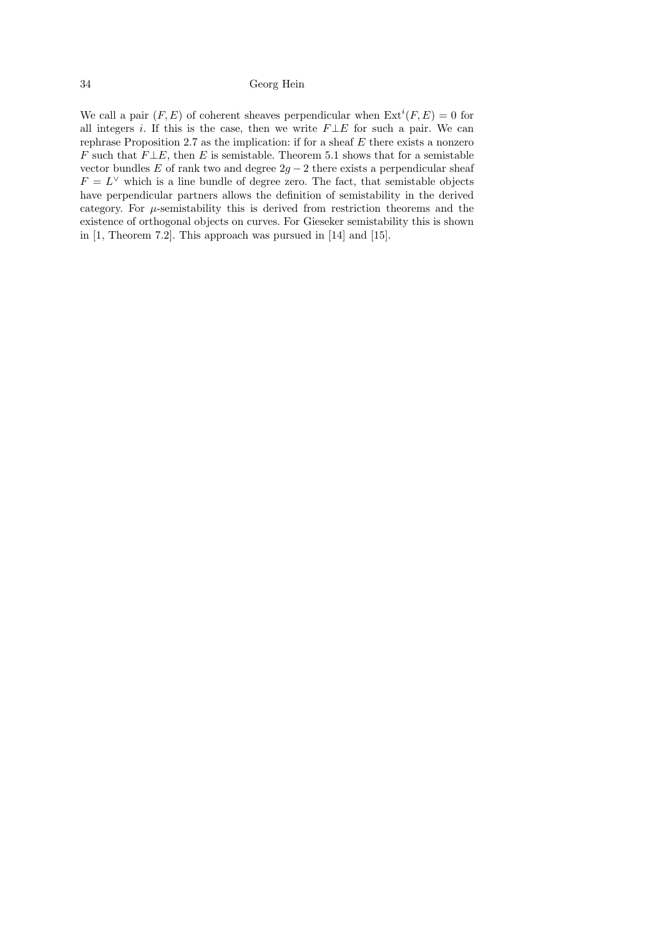We call a pair  $(F, E)$  of coherent sheaves perpendicular when  $\text{Ext}^i(F, E) = 0$  for all integers i. If this is the case, then we write  $F \perp E$  for such a pair. We can rephrase Proposition 2.7 as the implication: if for a sheaf  $E$  there exists a nonzero F such that  $F \perp E$ , then E is semistable. Theorem 5.1 shows that for a semistable vector bundles  $E$  of rank two and degree  $2g - 2$  there exists a perpendicular sheaf  $F = L^{\vee}$  which is a line bundle of degree zero. The fact, that semistable objects have perpendicular partners allows the definition of semistability in the derived category. For  $\mu$ -semistability this is derived from restriction theorems and the existence of orthogonal objects on curves. For Gieseker semistability this is shown in [1, Theorem 7.2]. This approach was pursued in [14] and [15].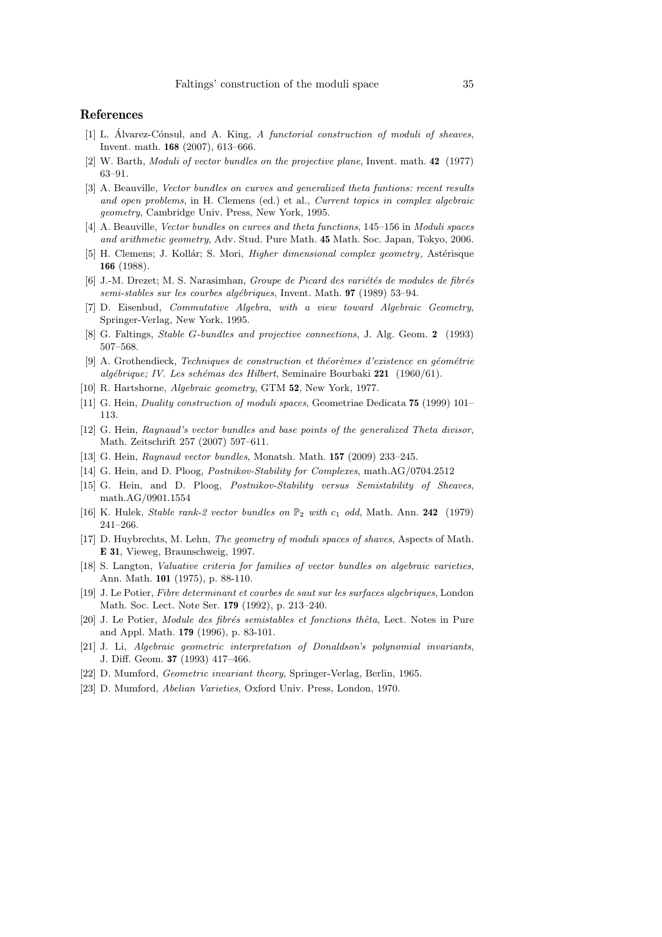# References

- [1] L. Alvarez-Cónsul, and A. King,  $\tilde{A}$  functorial construction of moduli of sheaves, Invent. math. 168 (2007), 613–666.
- [2] W. Barth, Moduli of vector bundles on the projective plane, Invent. math. 42 (1977) 63–91.
- [3] A. Beauville, Vector bundles on curves and generalized theta funtions: recent results and open problems, in H. Clemens (ed.) et al., Current topics in complex algebraic geometry, Cambridge Univ. Press, New York, 1995.
- [4] A. Beauville, Vector bundles on curves and theta functions, 145–156 in Moduli spaces and arithmetic geometry, Adv. Stud. Pure Math. 45 Math. Soc. Japan, Tokyo, 2006.
- [5] H. Clemens; J. Kollár; S. Mori, *Higher dimensional complex geometry*, Astérisque 166 (1988).
- [6] J.-M. Drezet; M. S. Narasimhan, Groupe de Picard des variétés de modules de fibrés semi-stables sur les courbes algébriques, Invent. Math. **97** (1989) 53–94.
- [7] D. Eisenbud, Commutative Algebra, with a view toward Algebraic Geometry, Springer-Verlag, New York, 1995.
- [8] G. Faltings, Stable G-bundles and projective connections, J. Alg. Geom. 2 (1993) 507–568.
- [9] A. Grothendieck, Techniques de construction et théorèmes d'existence en géométrie  $algébrique; IV. Les schémas des Hilbert, Seminaire Bourbaki 221 (1960/61).$
- [10] R. Hartshorne, Algebraic geometry, GTM 52, New York, 1977.
- [11] G. Hein, Duality construction of moduli spaces, Geometriae Dedicata 75 (1999) 101– 113.
- [12] G. Hein, Raynaud's vector bundles and base points of the generalized Theta divisor, Math. Zeitschrift 257 (2007) 597–611.
- [13] G. Hein, Raynaud vector bundles, Monatsh. Math. **157** (2009) 233-245.
- [14] G. Hein, and D. Ploog, Postnikov-Stability for Complexes, math.AG/0704.2512
- [15] G. Hein, and D. Ploog, Postnikov-Stability versus Semistability of Sheaves, math.AG/0901.1554
- [16] K. Hulek, *Stable rank-2 vector bundles on*  $\mathbb{P}_2$  *with c<sub>1</sub> odd*, Math. Ann. **242** (1979) 241–266.
- [17] D. Huybrechts, M. Lehn, The geometry of moduli spaces of shaves, Aspects of Math. E 31, Vieweg, Braunschweig, 1997.
- [18] S. Langton, *Valuative criteria for families of vector bundles on algebraic varieties*, Ann. Math. 101 (1975), p. 88-110.
- [19] J. Le Potier, Fibre determinant et courbes de saut sur les surfaces algebriques, London Math. Soc. Lect. Note Ser. 179 (1992), p. 213–240.
- [20] J. Le Potier, Module des fibrés semistables et fonctions thêta, Lect. Notes in Pure and Appl. Math. 179 (1996), p. 83-101.
- [21] J. Li, Algebraic geometric interpretation of Donaldson's polynomial invariants, J. Diff. Geom. 37 (1993) 417–466.
- [22] D. Mumford, Geometric invariant theory, Springer-Verlag, Berlin, 1965.
- [23] D. Mumford, Abelian Varieties, Oxford Univ. Press, London, 1970.